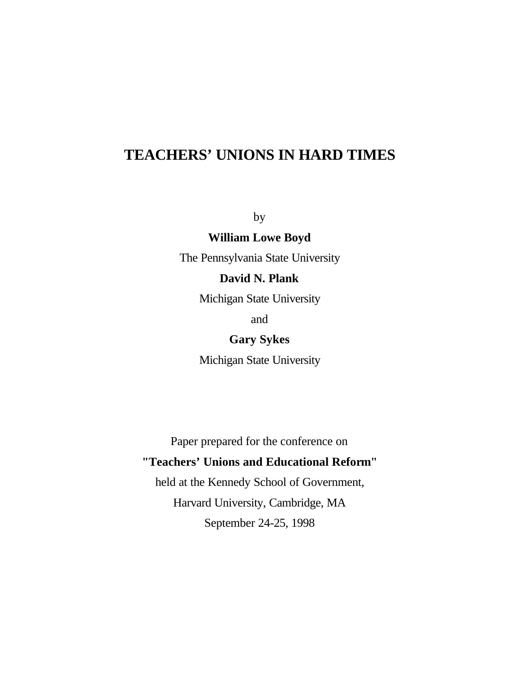# **TEACHERS' UNIONS IN HARD TIMES**

by

# **William Lowe Boyd**

The Pennsylvania State University

# **David N. Plank**

Michigan State University

and

# **Gary Sykes**

Michigan State University

Paper prepared for the conference on

# **"Teachers' Unions and Educational Reform"**

held at the Kennedy School of Government, Harvard University, Cambridge, MA September 24-25, 1998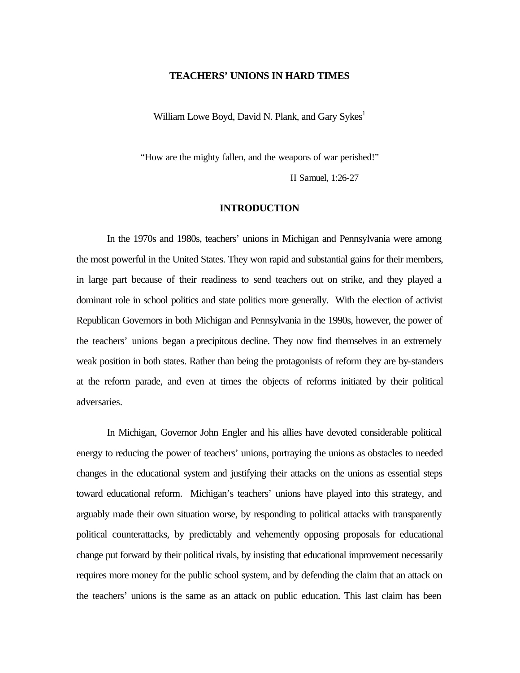# **TEACHERS' UNIONS IN HARD TIMES**

William Lowe Boyd, David N. Plank, and Gary  $\text{Sykes}^1$ 

"How are the mighty fallen, and the weapons of war perished!"

II Samuel, 1:26-27

#### **INTRODUCTION**

In the 1970s and 1980s, teachers' unions in Michigan and Pennsylvania were among the most powerful in the United States. They won rapid and substantial gains for their members, in large part because of their readiness to send teachers out on strike, and they played a dominant role in school politics and state politics more generally. With the election of activist Republican Governors in both Michigan and Pennsylvania in the 1990s, however, the power of the teachers' unions began a precipitous decline. They now find themselves in an extremely weak position in both states. Rather than being the protagonists of reform they are by-standers at the reform parade, and even at times the objects of reforms initiated by their political adversaries.

In Michigan, Governor John Engler and his allies have devoted considerable political energy to reducing the power of teachers' unions, portraying the unions as obstacles to needed changes in the educational system and justifying their attacks on the unions as essential steps toward educational reform. Michigan's teachers' unions have played into this strategy, and arguably made their own situation worse, by responding to political attacks with transparently political counterattacks, by predictably and vehemently opposing proposals for educational change put forward by their political rivals, by insisting that educational improvement necessarily requires more money for the public school system, and by defending the claim that an attack on the teachers' unions is the same as an attack on public education. This last claim has been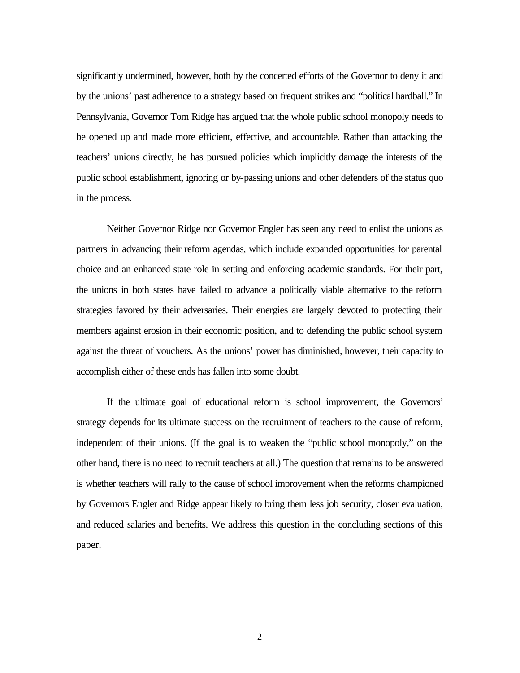significantly undermined, however, both by the concerted efforts of the Governor to deny it and by the unions' past adherence to a strategy based on frequent strikes and "political hardball." In Pennsylvania, Governor Tom Ridge has argued that the whole public school monopoly needs to be opened up and made more efficient, effective, and accountable. Rather than attacking the teachers' unions directly, he has pursued policies which implicitly damage the interests of the public school establishment, ignoring or by-passing unions and other defenders of the status quo in the process.

Neither Governor Ridge nor Governor Engler has seen any need to enlist the unions as partners in advancing their reform agendas, which include expanded opportunities for parental choice and an enhanced state role in setting and enforcing academic standards. For their part, the unions in both states have failed to advance a politically viable alternative to the reform strategies favored by their adversaries. Their energies are largely devoted to protecting their members against erosion in their economic position, and to defending the public school system against the threat of vouchers. As the unions' power has diminished, however, their capacity to accomplish either of these ends has fallen into some doubt.

If the ultimate goal of educational reform is school improvement, the Governors' strategy depends for its ultimate success on the recruitment of teachers to the cause of reform, independent of their unions. (If the goal is to weaken the "public school monopoly," on the other hand, there is no need to recruit teachers at all.) The question that remains to be answered is whether teachers will rally to the cause of school improvement when the reforms championed by Governors Engler and Ridge appear likely to bring them less job security, closer evaluation, and reduced salaries and benefits. We address this question in the concluding sections of this paper.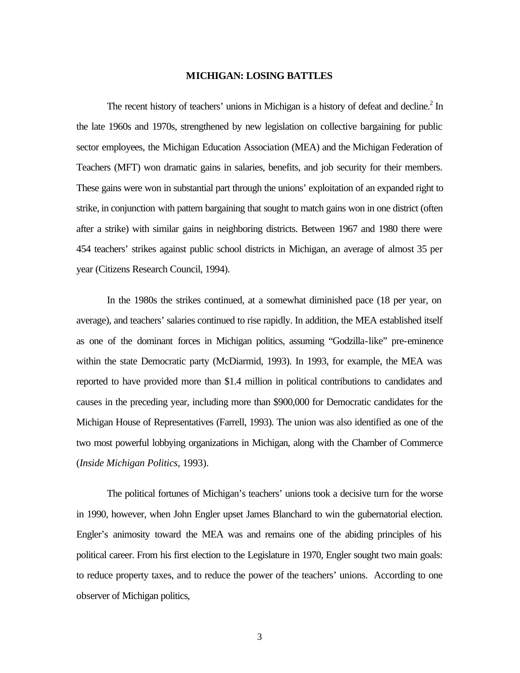### **MICHIGAN: LOSING BATTLES**

The recent history of teachers' unions in Michigan is a history of defeat and decline.<sup>2</sup> In the late 1960s and 1970s, strengthened by new legislation on collective bargaining for public sector employees, the Michigan Education Association (MEA) and the Michigan Federation of Teachers (MFT) won dramatic gains in salaries, benefits, and job security for their members. These gains were won in substantial part through the unions' exploitation of an expanded right to strike, in conjunction with pattern bargaining that sought to match gains won in one district (often after a strike) with similar gains in neighboring districts. Between 1967 and 1980 there were 454 teachers' strikes against public school districts in Michigan, an average of almost 35 per year (Citizens Research Council, 1994).

In the 1980s the strikes continued, at a somewhat diminished pace (18 per year, on average), and teachers' salaries continued to rise rapidly. In addition, the MEA established itself as one of the dominant forces in Michigan politics, assuming "Godzilla-like" pre-eminence within the state Democratic party (McDiarmid, 1993). In 1993, for example, the MEA was reported to have provided more than \$1.4 million in political contributions to candidates and causes in the preceding year, including more than \$900,000 for Democratic candidates for the Michigan House of Representatives (Farrell, 1993). The union was also identified as one of the two most powerful lobbying organizations in Michigan, along with the Chamber of Commerce (*Inside Michigan Politics*, 1993).

The political fortunes of Michigan's teachers' unions took a decisive turn for the worse in 1990, however, when John Engler upset James Blanchard to win the gubernatorial election. Engler's animosity toward the MEA was and remains one of the abiding principles of his political career. From his first election to the Legislature in 1970, Engler sought two main goals: to reduce property taxes, and to reduce the power of the teachers' unions. According to one observer of Michigan politics,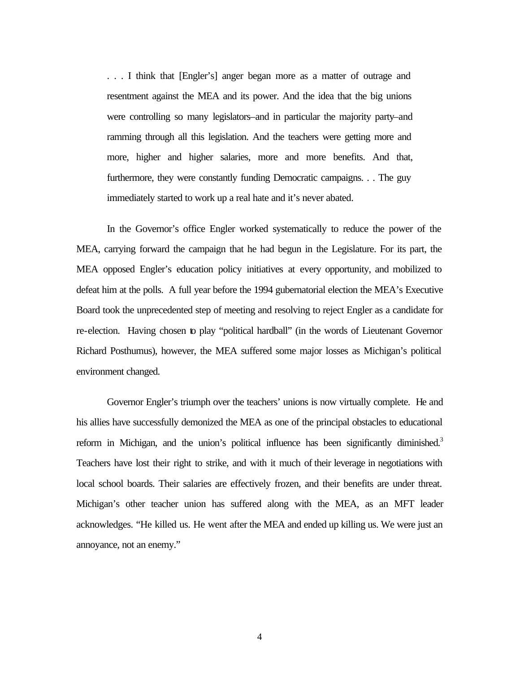. . . I think that [Engler's] anger began more as a matter of outrage and resentment against the MEA and its power. And the idea that the big unions were controlling so many legislators–and in particular the majority party–and ramming through all this legislation. And the teachers were getting more and more, higher and higher salaries, more and more benefits. And that, furthermore, they were constantly funding Democratic campaigns. . . The guy immediately started to work up a real hate and it's never abated.

In the Governor's office Engler worked systematically to reduce the power of the MEA, carrying forward the campaign that he had begun in the Legislature. For its part, the MEA opposed Engler's education policy initiatives at every opportunity, and mobilized to defeat him at the polls. A full year before the 1994 gubernatorial election the MEA's Executive Board took the unprecedented step of meeting and resolving to reject Engler as a candidate for re-election. Having chosen to play "political hardball" (in the words of Lieutenant Governor Richard Posthumus), however, the MEA suffered some major losses as Michigan's political environment changed.

Governor Engler's triumph over the teachers' unions is now virtually complete. He and his allies have successfully demonized the MEA as one of the principal obstacles to educational reform in Michigan, and the union's political influence has been significantly diminished.<sup>3</sup> Teachers have lost their right to strike, and with it much of their leverage in negotiations with local school boards. Their salaries are effectively frozen, and their benefits are under threat. Michigan's other teacher union has suffered along with the MEA, as an MFT leader acknowledges. "He killed us. He went after the MEA and ended up killing us. We were just an annoyance, not an enemy."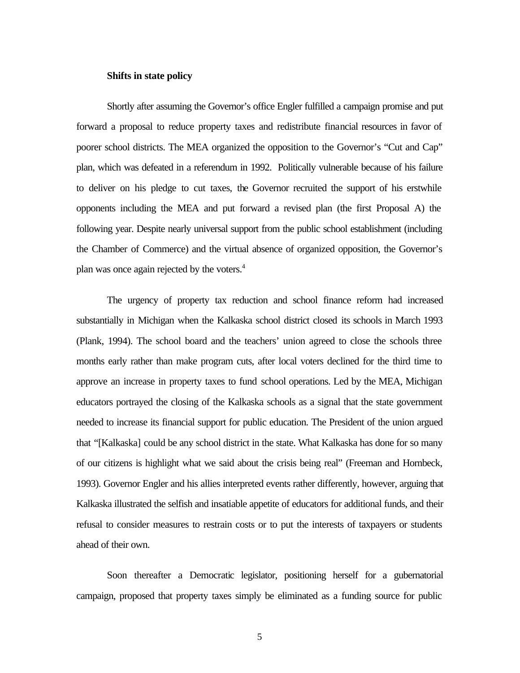#### **Shifts in state policy**

Shortly after assuming the Governor's office Engler fulfilled a campaign promise and put forward a proposal to reduce property taxes and redistribute financial resources in favor of poorer school districts. The MEA organized the opposition to the Governor's "Cut and Cap" plan, which was defeated in a referendum in 1992. Politically vulnerable because of his failure to deliver on his pledge to cut taxes, the Governor recruited the support of his erstwhile opponents including the MEA and put forward a revised plan (the first Proposal A) the following year. Despite nearly universal support from the public school establishment (including the Chamber of Commerce) and the virtual absence of organized opposition, the Governor's plan was once again rejected by the voters.<sup>4</sup>

The urgency of property tax reduction and school finance reform had increased substantially in Michigan when the Kalkaska school district closed its schools in March 1993 (Plank, 1994). The school board and the teachers' union agreed to close the schools three months early rather than make program cuts, after local voters declined for the third time to approve an increase in property taxes to fund school operations. Led by the MEA, Michigan educators portrayed the closing of the Kalkaska schools as a signal that the state government needed to increase its financial support for public education. The President of the union argued that "[Kalkaska] could be any school district in the state. What Kalkaska has done for so many of our citizens is highlight what we said about the crisis being real" (Freeman and Hornbeck, 1993). Governor Engler and his allies interpreted events rather differently, however, arguing that Kalkaska illustrated the selfish and insatiable appetite of educators for additional funds, and their refusal to consider measures to restrain costs or to put the interests of taxpayers or students ahead of their own.

Soon thereafter a Democratic legislator, positioning herself for a gubernatorial campaign, proposed that property taxes simply be eliminated as a funding source for public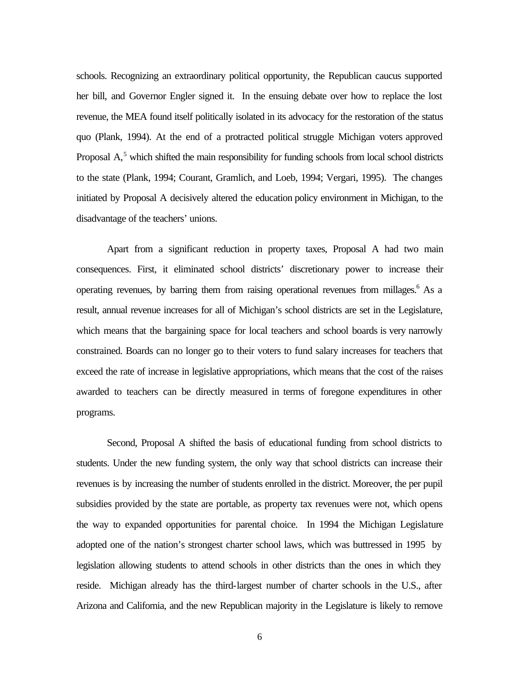schools. Recognizing an extraordinary political opportunity, the Republican caucus supported her bill, and Governor Engler signed it. In the ensuing debate over how to replace the lost revenue, the MEA found itself politically isolated in its advocacy for the restoration of the status quo (Plank, 1994). At the end of a protracted political struggle Michigan voters approved Proposal A,<sup>5</sup> which shifted the main responsibility for funding schools from local school districts to the state (Plank, 1994; Courant, Gramlich, and Loeb, 1994; Vergari, 1995). The changes initiated by Proposal A decisively altered the education policy environment in Michigan, to the disadvantage of the teachers' unions.

Apart from a significant reduction in property taxes, Proposal A had two main consequences. First, it eliminated school districts' discretionary power to increase their operating revenues, by barring them from raising operational revenues from millages.<sup>6</sup> As a result, annual revenue increases for all of Michigan's school districts are set in the Legislature, which means that the bargaining space for local teachers and school boards is very narrowly constrained. Boards can no longer go to their voters to fund salary increases for teachers that exceed the rate of increase in legislative appropriations, which means that the cost of the raises awarded to teachers can be directly measured in terms of foregone expenditures in other programs.

Second, Proposal A shifted the basis of educational funding from school districts to students. Under the new funding system, the only way that school districts can increase their revenues is by increasing the number of students enrolled in the district. Moreover, the per pupil subsidies provided by the state are portable, as property tax revenues were not, which opens the way to expanded opportunities for parental choice. In 1994 the Michigan Legislature adopted one of the nation's strongest charter school laws, which was buttressed in 1995 by legislation allowing students to attend schools in other districts than the ones in which they reside. Michigan already has the third-largest number of charter schools in the U.S., after Arizona and California, and the new Republican majority in the Legislature is likely to remove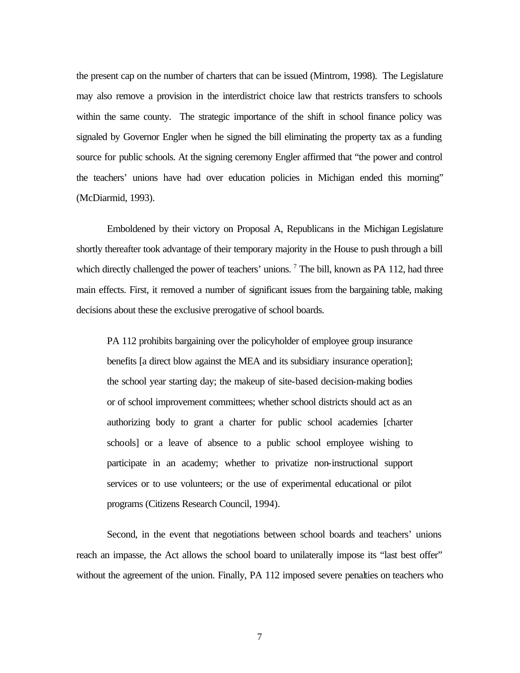the present cap on the number of charters that can be issued (Mintrom, 1998). The Legislature may also remove a provision in the interdistrict choice law that restricts transfers to schools within the same county. The strategic importance of the shift in school finance policy was signaled by Governor Engler when he signed the bill eliminating the property tax as a funding source for public schools. At the signing ceremony Engler affirmed that "the power and control the teachers' unions have had over education policies in Michigan ended this morning" (McDiarmid, 1993).

Emboldened by their victory on Proposal A, Republicans in the Michigan Legislature shortly thereafter took advantage of their temporary majority in the House to push through a bill which directly challenged the power of teachers' unions. <sup>7</sup> The bill, known as PA 112, had three main effects. First, it removed a number of significant issues from the bargaining table, making decisions about these the exclusive prerogative of school boards.

PA 112 prohibits bargaining over the policyholder of employee group insurance benefits [a direct blow against the MEA and its subsidiary insurance operation]; the school year starting day; the makeup of site-based decision-making bodies or of school improvement committees; whether school districts should act as an authorizing body to grant a charter for public school academies [charter schools] or a leave of absence to a public school employee wishing to participate in an academy; whether to privatize non-instructional support services or to use volunteers; or the use of experimental educational or pilot programs (Citizens Research Council, 1994).

Second, in the event that negotiations between school boards and teachers' unions reach an impasse, the Act allows the school board to unilaterally impose its "last best offer" without the agreement of the union. Finally, PA 112 imposed severe penalties on teachers who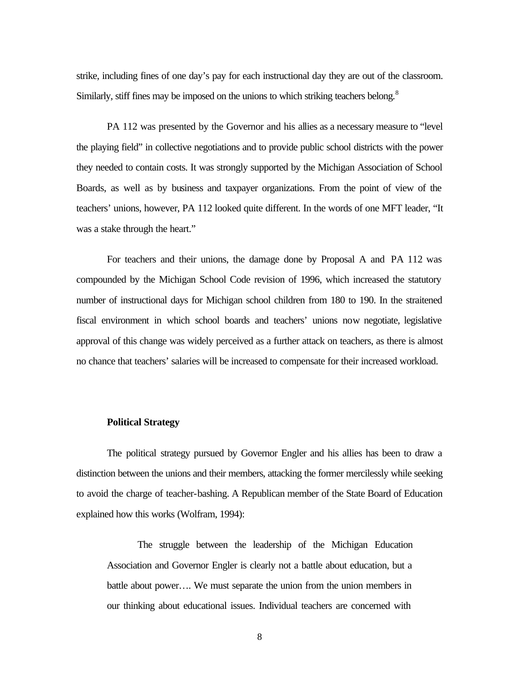strike, including fines of one day's pay for each instructional day they are out of the classroom. Similarly, stiff fines may be imposed on the unions to which striking teachers belong.<sup>8</sup>

PA 112 was presented by the Governor and his allies as a necessary measure to "level the playing field" in collective negotiations and to provide public school districts with the power they needed to contain costs. It was strongly supported by the Michigan Association of School Boards, as well as by business and taxpayer organizations. From the point of view of the teachers' unions, however, PA 112 looked quite different. In the words of one MFT leader, "It was a stake through the heart."

For teachers and their unions, the damage done by Proposal A and PA 112 was compounded by the Michigan School Code revision of 1996, which increased the statutory number of instructional days for Michigan school children from 180 to 190. In the straitened fiscal environment in which school boards and teachers' unions now negotiate, legislative approval of this change was widely perceived as a further attack on teachers, as there is almost no chance that teachers' salaries will be increased to compensate for their increased workload.

## **Political Strategy**

The political strategy pursued by Governor Engler and his allies has been to draw a distinction between the unions and their members, attacking the former mercilessly while seeking to avoid the charge of teacher-bashing. A Republican member of the State Board of Education explained how this works (Wolfram, 1994):

The struggle between the leadership of the Michigan Education Association and Governor Engler is clearly not a battle about education, but a battle about power…. We must separate the union from the union members in our thinking about educational issues. Individual teachers are concerned with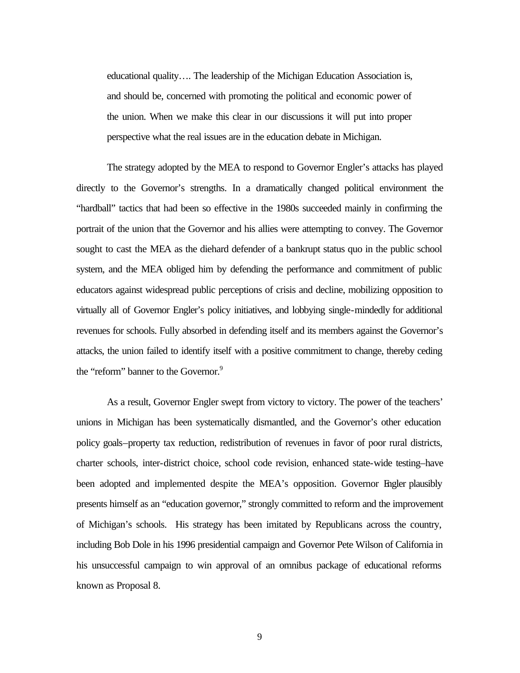educational quality…. The leadership of the Michigan Education Association is, and should be, concerned with promoting the political and economic power of the union. When we make this clear in our discussions it will put into proper perspective what the real issues are in the education debate in Michigan.

The strategy adopted by the MEA to respond to Governor Engler's attacks has played directly to the Governor's strengths. In a dramatically changed political environment the "hardball" tactics that had been so effective in the 1980s succeeded mainly in confirming the portrait of the union that the Governor and his allies were attempting to convey. The Governor sought to cast the MEA as the diehard defender of a bankrupt status quo in the public school system, and the MEA obliged him by defending the performance and commitment of public educators against widespread public perceptions of crisis and decline, mobilizing opposition to virtually all of Governor Engler's policy initiatives, and lobbying single-mindedly for additional revenues for schools. Fully absorbed in defending itself and its members against the Governor's attacks, the union failed to identify itself with a positive commitment to change, thereby ceding the "reform" banner to the Governor.<sup>9</sup>

As a result, Governor Engler swept from victory to victory. The power of the teachers' unions in Michigan has been systematically dismantled, and the Governor's other education policy goals–property tax reduction, redistribution of revenues in favor of poor rural districts, charter schools, inter-district choice, school code revision, enhanced state-wide testing–have been adopted and implemented despite the MEA's opposition. Governor Engler plausibly presents himself as an "education governor," strongly committed to reform and the improvement of Michigan's schools. His strategy has been imitated by Republicans across the country, including Bob Dole in his 1996 presidential campaign and Governor Pete Wilson of California in his unsuccessful campaign to win approval of an omnibus package of educational reforms known as Proposal 8.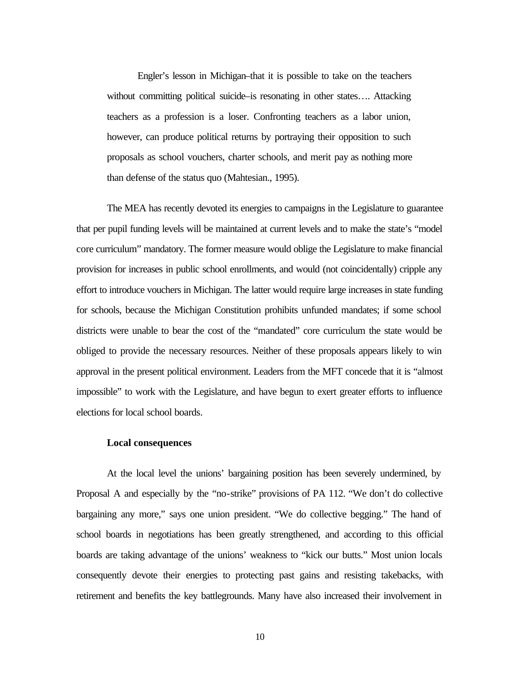Engler's lesson in Michigan–that it is possible to take on the teachers without committing political suicide–is resonating in other states…. Attacking teachers as a profession is a loser. Confronting teachers as a labor union, however, can produce political returns by portraying their opposition to such proposals as school vouchers, charter schools, and merit pay as nothing more than defense of the status quo (Mahtesian., 1995).

The MEA has recently devoted its energies to campaigns in the Legislature to guarantee that per pupil funding levels will be maintained at current levels and to make the state's "model core curriculum" mandatory. The former measure would oblige the Legislature to make financial provision for increases in public school enrollments, and would (not coincidentally) cripple any effort to introduce vouchers in Michigan. The latter would require large increases in state funding for schools, because the Michigan Constitution prohibits unfunded mandates; if some school districts were unable to bear the cost of the "mandated" core curriculum the state would be obliged to provide the necessary resources. Neither of these proposals appears likely to win approval in the present political environment. Leaders from the MFT concede that it is "almost impossible" to work with the Legislature, and have begun to exert greater efforts to influence elections for local school boards.

#### **Local consequences**

At the local level the unions' bargaining position has been severely undermined, by Proposal A and especially by the "no-strike" provisions of PA 112. "We don't do collective bargaining any more," says one union president. "We do collective begging." The hand of school boards in negotiations has been greatly strengthened, and according to this official boards are taking advantage of the unions' weakness to "kick our butts." Most union locals consequently devote their energies to protecting past gains and resisting takebacks, with retirement and benefits the key battlegrounds. Many have also increased their involvement in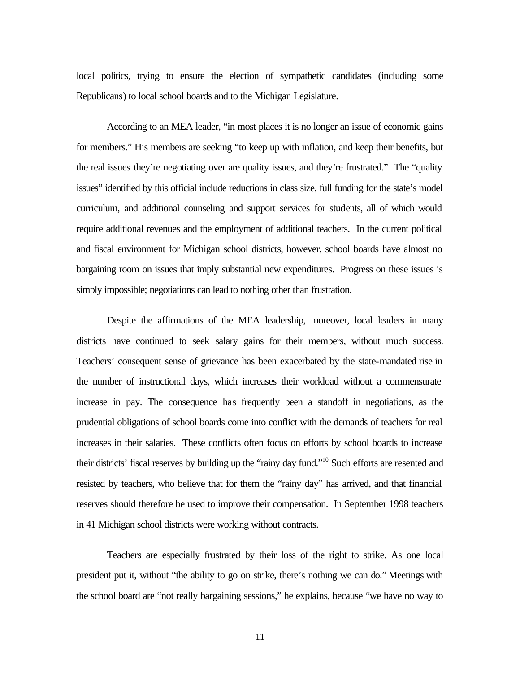local politics, trying to ensure the election of sympathetic candidates (including some Republicans) to local school boards and to the Michigan Legislature.

According to an MEA leader, "in most places it is no longer an issue of economic gains for members." His members are seeking "to keep up with inflation, and keep their benefits, but the real issues they're negotiating over are quality issues, and they're frustrated." The "quality issues" identified by this official include reductions in class size, full funding for the state's model curriculum, and additional counseling and support services for students, all of which would require additional revenues and the employment of additional teachers. In the current political and fiscal environment for Michigan school districts, however, school boards have almost no bargaining room on issues that imply substantial new expenditures. Progress on these issues is simply impossible; negotiations can lead to nothing other than frustration.

Despite the affirmations of the MEA leadership, moreover, local leaders in many districts have continued to seek salary gains for their members, without much success. Teachers' consequent sense of grievance has been exacerbated by the state-mandated rise in the number of instructional days, which increases their workload without a commensurate increase in pay. The consequence has frequently been a standoff in negotiations, as the prudential obligations of school boards come into conflict with the demands of teachers for real increases in their salaries. These conflicts often focus on efforts by school boards to increase their districts' fiscal reserves by building up the "rainy day fund."<sup>10</sup> Such efforts are resented and resisted by teachers, who believe that for them the "rainy day" has arrived, and that financial reserves should therefore be used to improve their compensation. In September 1998 teachers in 41 Michigan school districts were working without contracts.

Teachers are especially frustrated by their loss of the right to strike. As one local president put it, without "the ability to go on strike, there's nothing we can do." Meetings with the school board are "not really bargaining sessions," he explains, because "we have no way to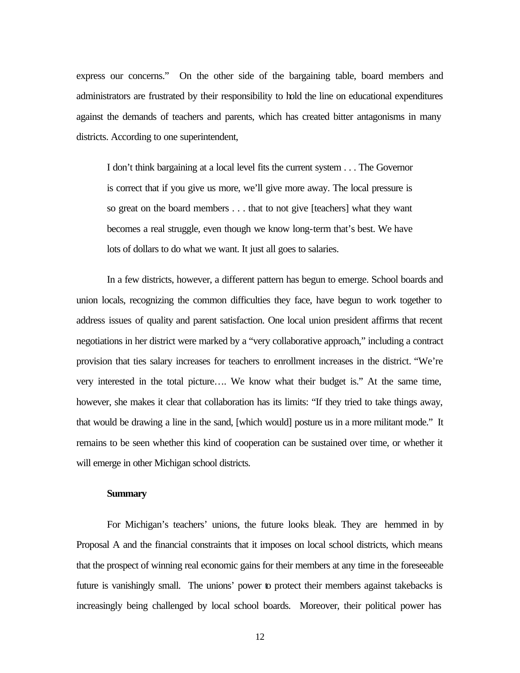express our concerns." On the other side of the bargaining table, board members and administrators are frustrated by their responsibility to hold the line on educational expenditures against the demands of teachers and parents, which has created bitter antagonisms in many districts. According to one superintendent,

I don't think bargaining at a local level fits the current system . . . The Governor is correct that if you give us more, we'll give more away. The local pressure is so great on the board members . . . that to not give [teachers] what they want becomes a real struggle, even though we know long-term that's best. We have lots of dollars to do what we want. It just all goes to salaries.

In a few districts, however, a different pattern has begun to emerge. School boards and union locals, recognizing the common difficulties they face, have begun to work together to address issues of quality and parent satisfaction. One local union president affirms that recent negotiations in her district were marked by a "very collaborative approach," including a contract provision that ties salary increases for teachers to enrollment increases in the district. "We're very interested in the total picture…. We know what their budget is." At the same time, however, she makes it clear that collaboration has its limits: "If they tried to take things away, that would be drawing a line in the sand, [which would] posture us in a more militant mode." It remains to be seen whether this kind of cooperation can be sustained over time, or whether it will emerge in other Michigan school districts.

#### **Summary**

For Michigan's teachers' unions, the future looks bleak. They are hemmed in by Proposal A and the financial constraints that it imposes on local school districts, which means that the prospect of winning real economic gains for their members at any time in the foreseeable future is vanishingly small. The unions' power to protect their members against takebacks is increasingly being challenged by local school boards. Moreover, their political power has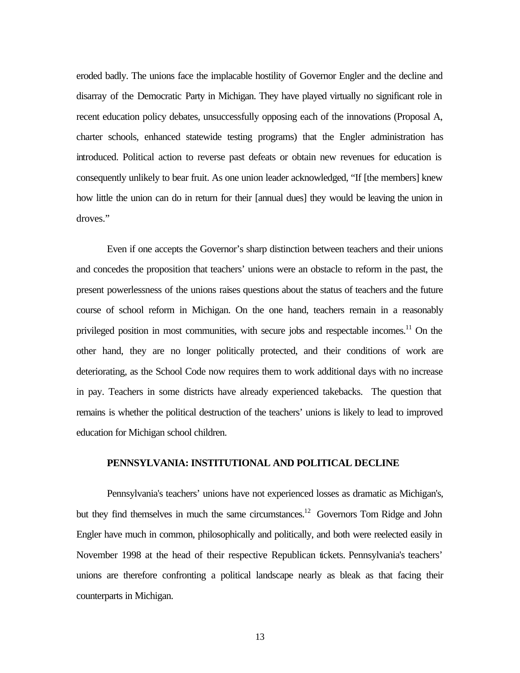eroded badly. The unions face the implacable hostility of Governor Engler and the decline and disarray of the Democratic Party in Michigan. They have played virtually no significant role in recent education policy debates, unsuccessfully opposing each of the innovations (Proposal A, charter schools, enhanced statewide testing programs) that the Engler administration has introduced. Political action to reverse past defeats or obtain new revenues for education is consequently unlikely to bear fruit. As one union leader acknowledged, "If [the members] knew how little the union can do in return for their [annual dues] they would be leaving the union in droves."

Even if one accepts the Governor's sharp distinction between teachers and their unions and concedes the proposition that teachers' unions were an obstacle to reform in the past, the present powerlessness of the unions raises questions about the status of teachers and the future course of school reform in Michigan. On the one hand, teachers remain in a reasonably privileged position in most communities, with secure jobs and respectable incomes.<sup>11</sup> On the other hand, they are no longer politically protected, and their conditions of work are deteriorating, as the School Code now requires them to work additional days with no increase in pay. Teachers in some districts have already experienced takebacks. The question that remains is whether the political destruction of the teachers' unions is likely to lead to improved education for Michigan school children.

# **PENNSYLVANIA: INSTITUTIONAL AND POLITICAL DECLINE**

Pennsylvania's teachers' unions have not experienced losses as dramatic as Michigan's, but they find themselves in much the same circumstances.<sup>12</sup> Governors Tom Ridge and John Engler have much in common, philosophically and politically, and both were reelected easily in November 1998 at the head of their respective Republican tickets. Pennsylvania's teachers' unions are therefore confronting a political landscape nearly as bleak as that facing their counterparts in Michigan.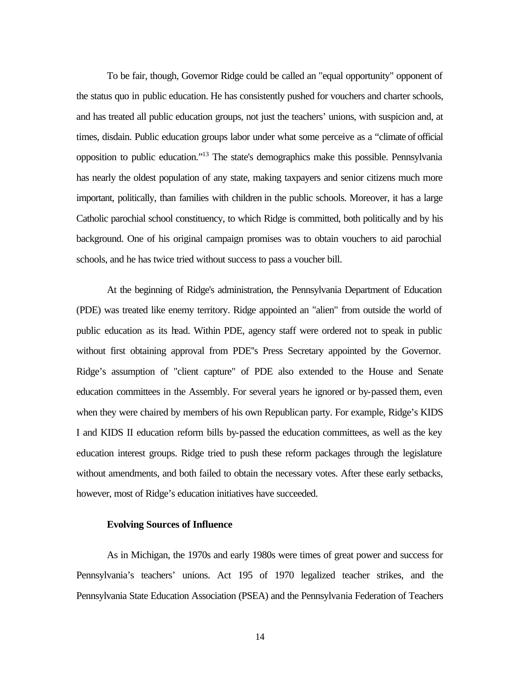To be fair, though, Governor Ridge could be called an "equal opportunity" opponent of the status quo in public education. He has consistently pushed for vouchers and charter schools, and has treated all public education groups, not just the teachers' unions, with suspicion and, at times, disdain. Public education groups labor under what some perceive as a "climate of official opposition to public education."<sup>13</sup> The state's demographics make this possible. Pennsylvania has nearly the oldest population of any state, making taxpayers and senior citizens much more important, politically, than families with children in the public schools. Moreover, it has a large Catholic parochial school constituency, to which Ridge is committed, both politically and by his background. One of his original campaign promises was to obtain vouchers to aid parochial schools, and he has twice tried without success to pass a voucher bill.

At the beginning of Ridge's administration, the Pennsylvania Department of Education (PDE) was treated like enemy territory. Ridge appointed an "alien" from outside the world of public education as its head. Within PDE, agency staff were ordered not to speak in public without first obtaining approval from PDE''s Press Secretary appointed by the Governor. Ridge's assumption of "client capture" of PDE also extended to the House and Senate education committees in the Assembly. For several years he ignored or by-passed them, even when they were chaired by members of his own Republican party. For example, Ridge's KIDS I and KIDS II education reform bills by-passed the education committees, as well as the key education interest groups. Ridge tried to push these reform packages through the legislature without amendments, and both failed to obtain the necessary votes. After these early setbacks, however, most of Ridge's education initiatives have succeeded.

## **Evolving Sources of Influence**

As in Michigan, the 1970s and early 1980s were times of great power and success for Pennsylvania's teachers' unions. Act 195 of 1970 legalized teacher strikes, and the Pennsylvania State Education Association (PSEA) and the Pennsylvania Federation of Teachers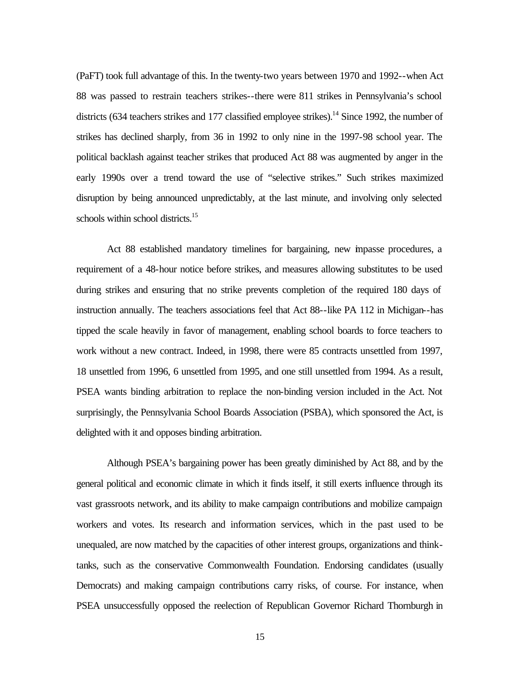(PaFT) took full advantage of this. In the twenty-two years between 1970 and 1992--when Act 88 was passed to restrain teachers strikes--there were 811 strikes in Pennsylvania's school districts (634 teachers strikes and 177 classified employee strikes).<sup>14</sup> Since 1992, the number of strikes has declined sharply, from 36 in 1992 to only nine in the 1997-98 school year. The political backlash against teacher strikes that produced Act 88 was augmented by anger in the early 1990s over a trend toward the use of "selective strikes." Such strikes maximized disruption by being announced unpredictably, at the last minute, and involving only selected schools within school districts.<sup>15</sup>

Act 88 established mandatory timelines for bargaining, new impasse procedures, a requirement of a 48-hour notice before strikes, and measures allowing substitutes to be used during strikes and ensuring that no strike prevents completion of the required 180 days of instruction annually. The teachers associations feel that Act 88--like PA 112 in Michigan--has tipped the scale heavily in favor of management, enabling school boards to force teachers to work without a new contract. Indeed, in 1998, there were 85 contracts unsettled from 1997, 18 unsettled from 1996, 6 unsettled from 1995, and one still unsettled from 1994. As a result, PSEA wants binding arbitration to replace the non-binding version included in the Act. Not surprisingly, the Pennsylvania School Boards Association (PSBA), which sponsored the Act, is delighted with it and opposes binding arbitration.

Although PSEA's bargaining power has been greatly diminished by Act 88, and by the general political and economic climate in which it finds itself, it still exerts influence through its vast grassroots network, and its ability to make campaign contributions and mobilize campaign workers and votes. Its research and information services, which in the past used to be unequaled, are now matched by the capacities of other interest groups, organizations and thinktanks, such as the conservative Commonwealth Foundation. Endorsing candidates (usually Democrats) and making campaign contributions carry risks, of course. For instance, when PSEA unsuccessfully opposed the reelection of Republican Governor Richard Thornburgh in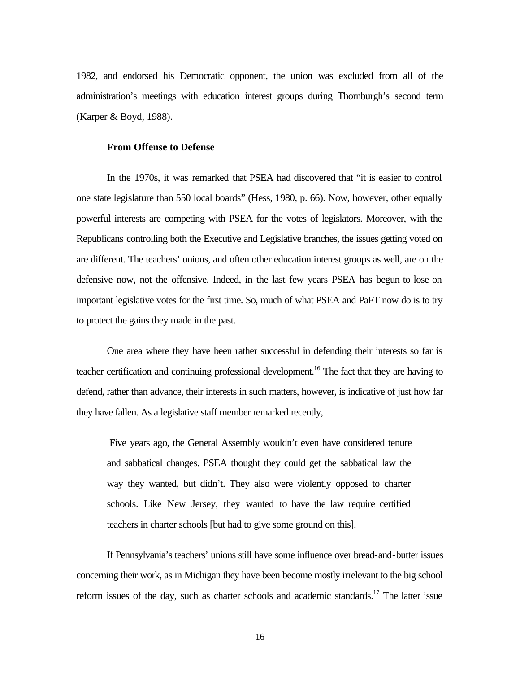1982, and endorsed his Democratic opponent, the union was excluded from all of the administration's meetings with education interest groups during Thornburgh's second term (Karper & Boyd, 1988).

### **From Offense to Defense**

In the 1970s, it was remarked that PSEA had discovered that "it is easier to control one state legislature than 550 local boards" (Hess, 1980, p. 66). Now, however, other equally powerful interests are competing with PSEA for the votes of legislators. Moreover, with the Republicans controlling both the Executive and Legislative branches, the issues getting voted on are different. The teachers' unions, and often other education interest groups as well, are on the defensive now, not the offensive. Indeed, in the last few years PSEA has begun to lose on important legislative votes for the first time. So, much of what PSEA and PaFT now do is to try to protect the gains they made in the past.

One area where they have been rather successful in defending their interests so far is teacher certification and continuing professional development.<sup>16</sup> The fact that they are having to defend, rather than advance, their interests in such matters, however, is indicative of just how far they have fallen. As a legislative staff member remarked recently,

 Five years ago, the General Assembly wouldn't even have considered tenure and sabbatical changes. PSEA thought they could get the sabbatical law the way they wanted, but didn't. They also were violently opposed to charter schools. Like New Jersey, they wanted to have the law require certified teachers in charter schools [but had to give some ground on this].

If Pennsylvania's teachers' unions still have some influence over bread-and-butter issues concerning their work, as in Michigan they have been become mostly irrelevant to the big school reform issues of the day, such as charter schools and academic standards.<sup>17</sup> The latter issue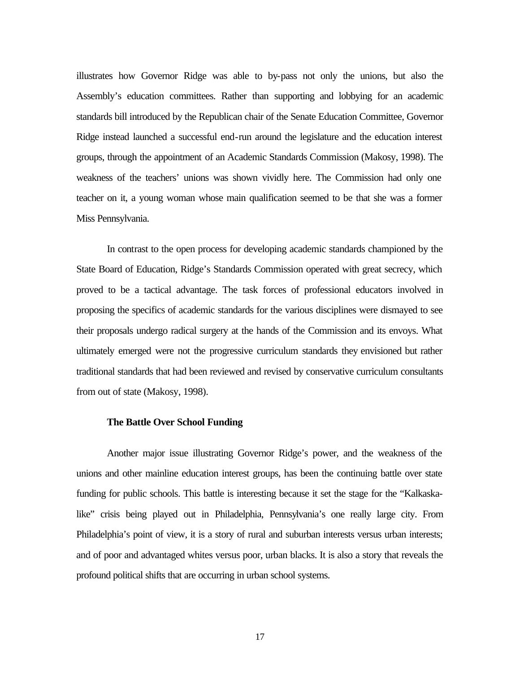illustrates how Governor Ridge was able to by-pass not only the unions, but also the Assembly's education committees. Rather than supporting and lobbying for an academic standards bill introduced by the Republican chair of the Senate Education Committee, Governor Ridge instead launched a successful end-run around the legislature and the education interest groups, through the appointment of an Academic Standards Commission (Makosy, 1998). The weakness of the teachers' unions was shown vividly here. The Commission had only one teacher on it, a young woman whose main qualification seemed to be that she was a former Miss Pennsylvania.

In contrast to the open process for developing academic standards championed by the State Board of Education, Ridge's Standards Commission operated with great secrecy, which proved to be a tactical advantage. The task forces of professional educators involved in proposing the specifics of academic standards for the various disciplines were dismayed to see their proposals undergo radical surgery at the hands of the Commission and its envoys. What ultimately emerged were not the progressive curriculum standards they envisioned but rather traditional standards that had been reviewed and revised by conservative curriculum consultants from out of state (Makosy, 1998).

### **The Battle Over School Funding**

Another major issue illustrating Governor Ridge's power, and the weakness of the unions and other mainline education interest groups, has been the continuing battle over state funding for public schools. This battle is interesting because it set the stage for the "Kalkaskalike" crisis being played out in Philadelphia, Pennsylvania's one really large city. From Philadelphia's point of view, it is a story of rural and suburban interests versus urban interests; and of poor and advantaged whites versus poor, urban blacks. It is also a story that reveals the profound political shifts that are occurring in urban school systems.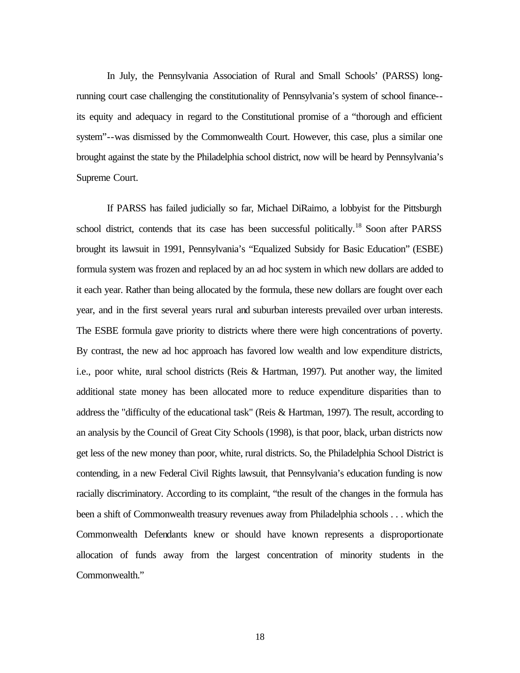In July, the Pennsylvania Association of Rural and Small Schools' (PARSS) longrunning court case challenging the constitutionality of Pennsylvania's system of school finance- its equity and adequacy in regard to the Constitutional promise of a "thorough and efficient system"--was dismissed by the Commonwealth Court. However, this case, plus a similar one brought against the state by the Philadelphia school district, now will be heard by Pennsylvania's Supreme Court.

If PARSS has failed judicially so far, Michael DiRaimo, a lobbyist for the Pittsburgh school district, contends that its case has been successful politically.<sup>18</sup> Soon after PARSS brought its lawsuit in 1991, Pennsylvania's "Equalized Subsidy for Basic Education" (ESBE) formula system was frozen and replaced by an ad hoc system in which new dollars are added to it each year. Rather than being allocated by the formula, these new dollars are fought over each year, and in the first several years rural and suburban interests prevailed over urban interests. The ESBE formula gave priority to districts where there were high concentrations of poverty. By contrast, the new ad hoc approach has favored low wealth and low expenditure districts, i.e., poor white, rural school districts (Reis & Hartman, 1997). Put another way, the limited additional state money has been allocated more to reduce expenditure disparities than to address the "difficulty of the educational task" (Reis & Hartman, 1997). The result, according to an analysis by the Council of Great City Schools (1998), is that poor, black, urban districts now get less of the new money than poor, white, rural districts. So, the Philadelphia School District is contending, in a new Federal Civil Rights lawsuit, that Pennsylvania's education funding is now racially discriminatory. According to its complaint, "the result of the changes in the formula has been a shift of Commonwealth treasury revenues away from Philadelphia schools . . . which the Commonwealth Defendants knew or should have known represents a disproportionate allocation of funds away from the largest concentration of minority students in the Commonwealth."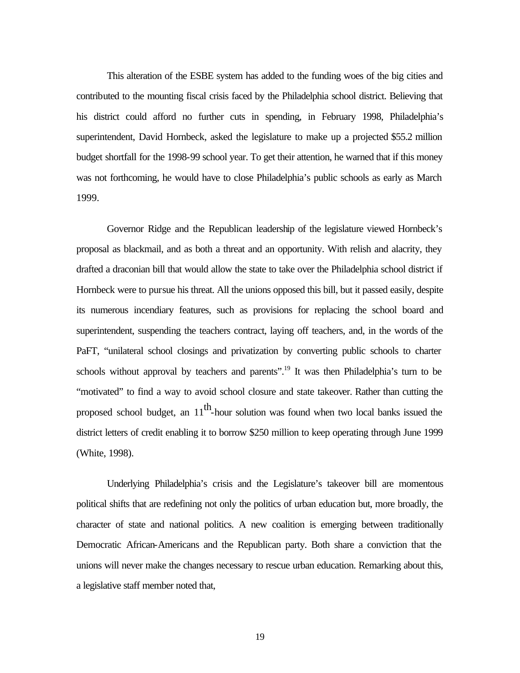This alteration of the ESBE system has added to the funding woes of the big cities and contributed to the mounting fiscal crisis faced by the Philadelphia school district. Believing that his district could afford no further cuts in spending, in February 1998, Philadelphia's superintendent, David Hornbeck, asked the legislature to make up a projected \$55.2 million budget shortfall for the 1998-99 school year. To get their attention, he warned that if this money was not forthcoming, he would have to close Philadelphia's public schools as early as March 1999.

Governor Ridge and the Republican leadership of the legislature viewed Hornbeck's proposal as blackmail, and as both a threat and an opportunity. With relish and alacrity, they drafted a draconian bill that would allow the state to take over the Philadelphia school district if Hornbeck were to pursue his threat. All the unions opposed this bill, but it passed easily, despite its numerous incendiary features, such as provisions for replacing the school board and superintendent, suspending the teachers contract, laying off teachers, and, in the words of the PaFT, "unilateral school closings and privatization by converting public schools to charter schools without approval by teachers and parents".<sup>19</sup> It was then Philadelphia's turn to be "motivated" to find a way to avoid school closure and state takeover. Rather than cutting the proposed school budget, an  $11^{th}$ -hour solution was found when two local banks issued the district letters of credit enabling it to borrow \$250 million to keep operating through June 1999 (White, 1998).

Underlying Philadelphia's crisis and the Legislature's takeover bill are momentous political shifts that are redefining not only the politics of urban education but, more broadly, the character of state and national politics. A new coalition is emerging between traditionally Democratic African-Americans and the Republican party. Both share a conviction that the unions will never make the changes necessary to rescue urban education. Remarking about this, a legislative staff member noted that,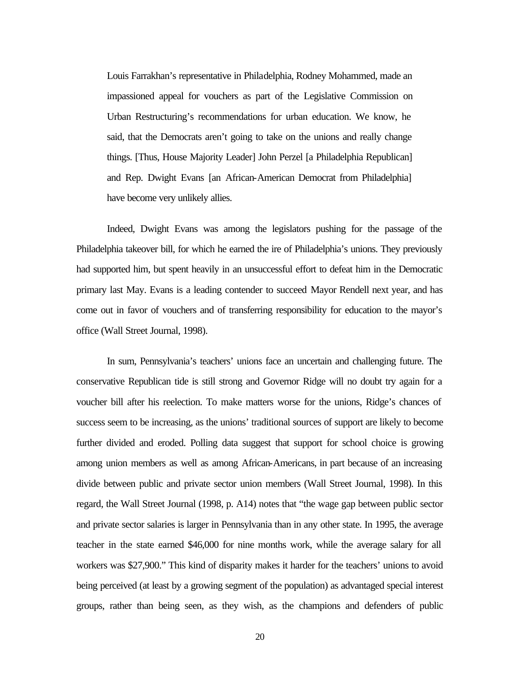Louis Farrakhan's representative in Philadelphia, Rodney Mohammed, made an impassioned appeal for vouchers as part of the Legislative Commission on Urban Restructuring's recommendations for urban education. We know, he said, that the Democrats aren't going to take on the unions and really change things. [Thus, House Majority Leader] John Perzel [a Philadelphia Republican] and Rep. Dwight Evans [an African-American Democrat from Philadelphia] have become very unlikely allies.

Indeed, Dwight Evans was among the legislators pushing for the passage of the Philadelphia takeover bill, for which he earned the ire of Philadelphia's unions. They previously had supported him, but spent heavily in an unsuccessful effort to defeat him in the Democratic primary last May. Evans is a leading contender to succeed Mayor Rendell next year, and has come out in favor of vouchers and of transferring responsibility for education to the mayor's office (Wall Street Journal, 1998).

In sum, Pennsylvania's teachers' unions face an uncertain and challenging future. The conservative Republican tide is still strong and Governor Ridge will no doubt try again for a voucher bill after his reelection. To make matters worse for the unions, Ridge's chances of success seem to be increasing, as the unions' traditional sources of support are likely to become further divided and eroded. Polling data suggest that support for school choice is growing among union members as well as among African-Americans, in part because of an increasing divide between public and private sector union members (Wall Street Journal, 1998). In this regard, the Wall Street Journal (1998, p. A14) notes that "the wage gap between public sector and private sector salaries is larger in Pennsylvania than in any other state. In 1995, the average teacher in the state earned \$46,000 for nine months work, while the average salary for all workers was \$27,900." This kind of disparity makes it harder for the teachers' unions to avoid being perceived (at least by a growing segment of the population) as advantaged special interest groups, rather than being seen, as they wish, as the champions and defenders of public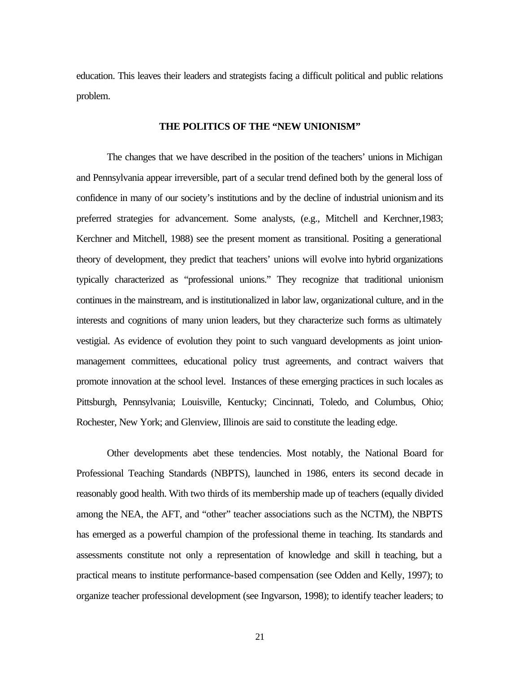education. This leaves their leaders and strategists facing a difficult political and public relations problem.

### **THE POLITICS OF THE "NEW UNIONISM"**

The changes that we have described in the position of the teachers' unions in Michigan and Pennsylvania appear irreversible, part of a secular trend defined both by the general loss of confidence in many of our society's institutions and by the decline of industrial unionism and its preferred strategies for advancement. Some analysts, (e.g., Mitchell and Kerchner,1983; Kerchner and Mitchell, 1988) see the present moment as transitional. Positing a generational theory of development, they predict that teachers' unions will evolve into hybrid organizations typically characterized as "professional unions." They recognize that traditional unionism continues in the mainstream, and is institutionalized in labor law, organizational culture, and in the interests and cognitions of many union leaders, but they characterize such forms as ultimately vestigial. As evidence of evolution they point to such vanguard developments as joint unionmanagement committees, educational policy trust agreements, and contract waivers that promote innovation at the school level. Instances of these emerging practices in such locales as Pittsburgh, Pennsylvania; Louisville, Kentucky; Cincinnati, Toledo, and Columbus, Ohio; Rochester, New York; and Glenview, Illinois are said to constitute the leading edge.

Other developments abet these tendencies. Most notably, the National Board for Professional Teaching Standards (NBPTS), launched in 1986, enters its second decade in reasonably good health. With two thirds of its membership made up of teachers (equally divided among the NEA, the AFT, and "other" teacher associations such as the NCTM), the NBPTS has emerged as a powerful champion of the professional theme in teaching. Its standards and assessments constitute not only a representation of knowledge and skill in teaching, but a practical means to institute performance-based compensation (see Odden and Kelly, 1997); to organize teacher professional development (see Ingvarson, 1998); to identify teacher leaders; to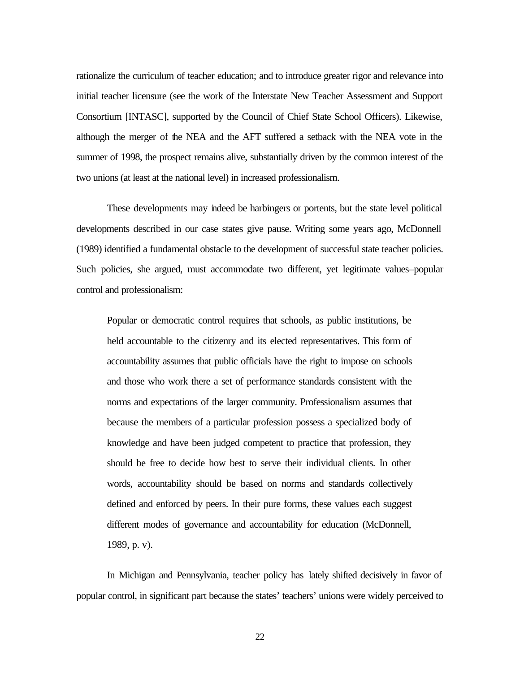rationalize the curriculum of teacher education; and to introduce greater rigor and relevance into initial teacher licensure (see the work of the Interstate New Teacher Assessment and Support Consortium [INTASC], supported by the Council of Chief State School Officers). Likewise, although the merger of the NEA and the AFT suffered a setback with the NEA vote in the summer of 1998, the prospect remains alive, substantially driven by the common interest of the two unions (at least at the national level) in increased professionalism.

These developments may indeed be harbingers or portents, but the state level political developments described in our case states give pause. Writing some years ago, McDonnell (1989) identified a fundamental obstacle to the development of successful state teacher policies. Such policies, she argued, must accommodate two different, yet legitimate values–popular control and professionalism:

Popular or democratic control requires that schools, as public institutions, be held accountable to the citizenry and its elected representatives. This form of accountability assumes that public officials have the right to impose on schools and those who work there a set of performance standards consistent with the norms and expectations of the larger community. Professionalism assumes that because the members of a particular profession possess a specialized body of knowledge and have been judged competent to practice that profession, they should be free to decide how best to serve their individual clients. In other words, accountability should be based on norms and standards collectively defined and enforced by peers. In their pure forms, these values each suggest different modes of governance and accountability for education (McDonnell, 1989, p. v).

In Michigan and Pennsylvania, teacher policy has lately shifted decisively in favor of popular control, in significant part because the states' teachers' unions were widely perceived to

22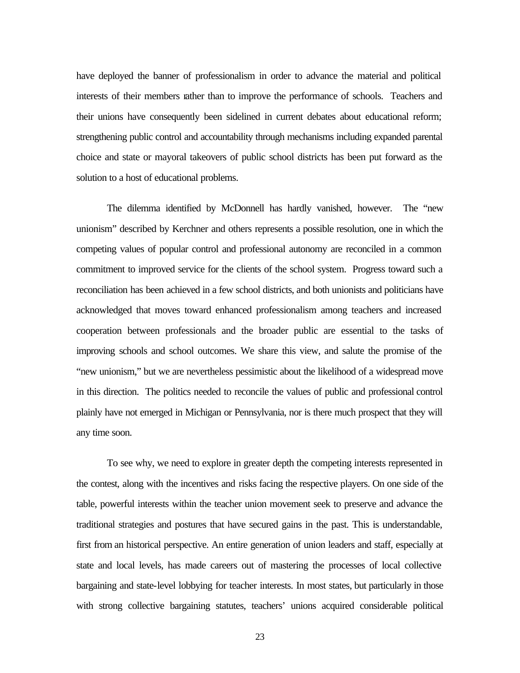have deployed the banner of professionalism in order to advance the material and political interests of their members rather than to improve the performance of schools. Teachers and their unions have consequently been sidelined in current debates about educational reform; strengthening public control and accountability through mechanisms including expanded parental choice and state or mayoral takeovers of public school districts has been put forward as the solution to a host of educational problems.

The dilemma identified by McDonnell has hardly vanished, however. The "new unionism" described by Kerchner and others represents a possible resolution, one in which the competing values of popular control and professional autonomy are reconciled in a common commitment to improved service for the clients of the school system. Progress toward such a reconciliation has been achieved in a few school districts, and both unionists and politicians have acknowledged that moves toward enhanced professionalism among teachers and increased cooperation between professionals and the broader public are essential to the tasks of improving schools and school outcomes. We share this view, and salute the promise of the "new unionism," but we are nevertheless pessimistic about the likelihood of a widespread move in this direction. The politics needed to reconcile the values of public and professional control plainly have not emerged in Michigan or Pennsylvania, nor is there much prospect that they will any time soon.

To see why, we need to explore in greater depth the competing interests represented in the contest, along with the incentives and risks facing the respective players. On one side of the table, powerful interests within the teacher union movement seek to preserve and advance the traditional strategies and postures that have secured gains in the past. This is understandable, first from an historical perspective. An entire generation of union leaders and staff, especially at state and local levels, has made careers out of mastering the processes of local collective bargaining and state-level lobbying for teacher interests. In most states, but particularly in those with strong collective bargaining statutes, teachers' unions acquired considerable political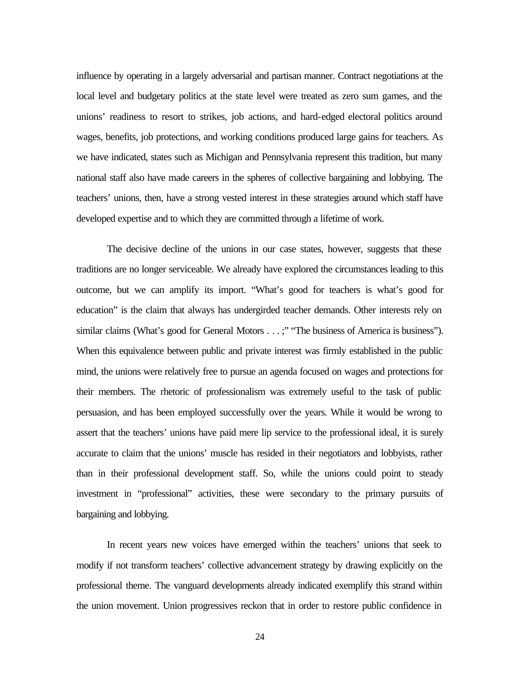influence by operating in a largely adversarial and partisan manner. Contract negotiations at the local level and budgetary politics at the state level were treated as zero sum games, and the unions' readiness to resort to strikes, job actions, and hard-edged electoral politics around wages, benefits, job protections, and working conditions produced large gains for teachers. As we have indicated, states such as Michigan and Pennsylvania represent this tradition, but many national staff also have made careers in the spheres of collective bargaining and lobbying. The teachers' unions, then, have a strong vested interest in these strategies around which staff have developed expertise and to which they are committed through a lifetime of work.

The decisive decline of the unions in our case states, however, suggests that these traditions are no longer serviceable. We already have explored the circumstances leading to this outcome, but we can amplify its import. "What's good for teachers is what's good for education" is the claim that always has undergirded teacher demands. Other interests rely on similar claims (What's good for General Motors . . .;" "The business of America is business"). When this equivalence between public and private interest was firmly established in the public mind, the unions were relatively free to pursue an agenda focused on wages and protections for their members. The rhetoric of professionalism was extremely useful to the task of public persuasion, and has been employed successfully over the years. While it would be wrong to assert that the teachers' unions have paid mere lip service to the professional ideal, it is surely accurate to claim that the unions' muscle has resided in their negotiators and lobbyists, rather than in their professional development staff. So, while the unions could point to steady investment in "professional" activities, these were secondary to the primary pursuits of bargaining and lobbying.

In recent years new voices have emerged within the teachers' unions that seek to modify if not transform teachers' collective advancement strategy by drawing explicitly on the professional theme. The vanguard developments already indicated exemplify this strand within the union movement. Union progressives reckon that in order to restore public confidence in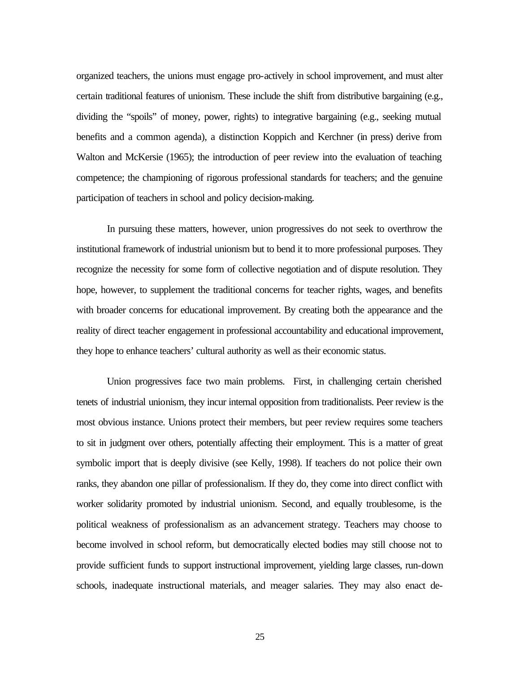organized teachers, the unions must engage pro-actively in school improvement, and must alter certain traditional features of unionism. These include the shift from distributive bargaining (e.g., dividing the "spoils" of money, power, rights) to integrative bargaining (e.g., seeking mutual benefits and a common agenda), a distinction Koppich and Kerchner (in press) derive from Walton and McKersie (1965); the introduction of peer review into the evaluation of teaching competence; the championing of rigorous professional standards for teachers; and the genuine participation of teachers in school and policy decision-making.

In pursuing these matters, however, union progressives do not seek to overthrow the institutional framework of industrial unionism but to bend it to more professional purposes. They recognize the necessity for some form of collective negotiation and of dispute resolution. They hope, however, to supplement the traditional concerns for teacher rights, wages, and benefits with broader concerns for educational improvement. By creating both the appearance and the reality of direct teacher engagement in professional accountability and educational improvement, they hope to enhance teachers' cultural authority as well as their economic status.

Union progressives face two main problems. First, in challenging certain cherished tenets of industrial unionism, they incur internal opposition from traditionalists. Peer review is the most obvious instance. Unions protect their members, but peer review requires some teachers to sit in judgment over others, potentially affecting their employment. This is a matter of great symbolic import that is deeply divisive (see Kelly, 1998). If teachers do not police their own ranks, they abandon one pillar of professionalism. If they do, they come into direct conflict with worker solidarity promoted by industrial unionism. Second, and equally troublesome, is the political weakness of professionalism as an advancement strategy. Teachers may choose to become involved in school reform, but democratically elected bodies may still choose not to provide sufficient funds to support instructional improvement, yielding large classes, run-down schools, inadequate instructional materials, and meager salaries. They may also enact de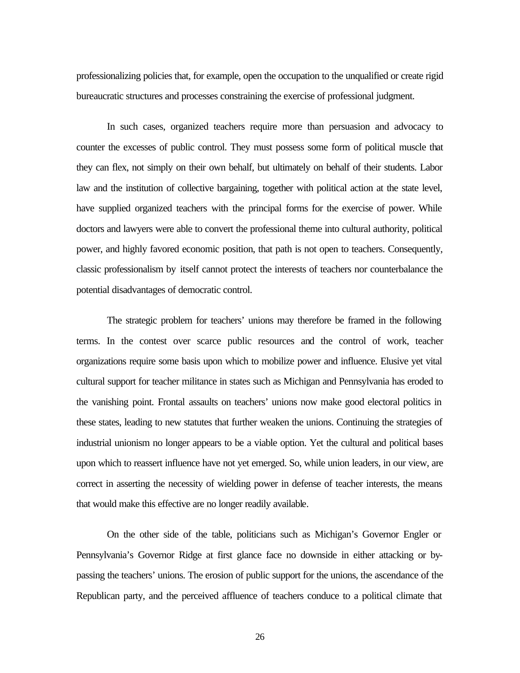professionalizing policies that, for example, open the occupation to the unqualified or create rigid bureaucratic structures and processes constraining the exercise of professional judgment.

In such cases, organized teachers require more than persuasion and advocacy to counter the excesses of public control. They must possess some form of political muscle that they can flex, not simply on their own behalf, but ultimately on behalf of their students. Labor law and the institution of collective bargaining, together with political action at the state level, have supplied organized teachers with the principal forms for the exercise of power. While doctors and lawyers were able to convert the professional theme into cultural authority, political power, and highly favored economic position, that path is not open to teachers. Consequently, classic professionalism by itself cannot protect the interests of teachers nor counterbalance the potential disadvantages of democratic control.

The strategic problem for teachers' unions may therefore be framed in the following terms. In the contest over scarce public resources and the control of work, teacher organizations require some basis upon which to mobilize power and influence. Elusive yet vital cultural support for teacher militance in states such as Michigan and Pennsylvania has eroded to the vanishing point. Frontal assaults on teachers' unions now make good electoral politics in these states, leading to new statutes that further weaken the unions. Continuing the strategies of industrial unionism no longer appears to be a viable option. Yet the cultural and political bases upon which to reassert influence have not yet emerged. So, while union leaders, in our view, are correct in asserting the necessity of wielding power in defense of teacher interests, the means that would make this effective are no longer readily available.

On the other side of the table, politicians such as Michigan's Governor Engler or Pennsylvania's Governor Ridge at first glance face no downside in either attacking or bypassing the teachers' unions. The erosion of public support for the unions, the ascendance of the Republican party, and the perceived affluence of teachers conduce to a political climate that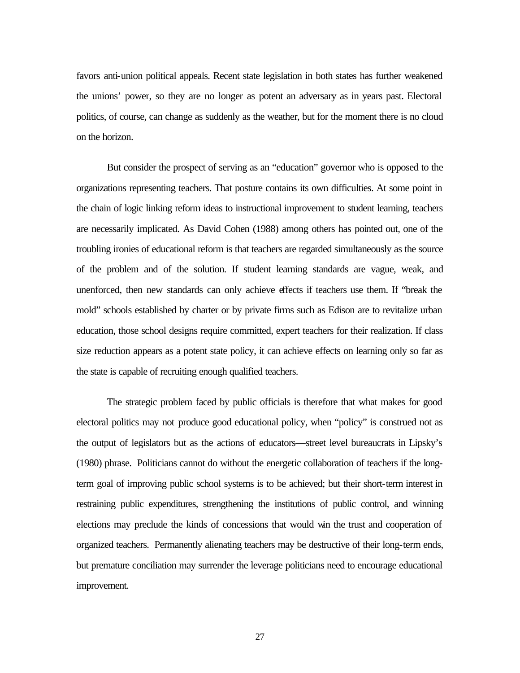favors anti-union political appeals. Recent state legislation in both states has further weakened the unions' power, so they are no longer as potent an adversary as in years past. Electoral politics, of course, can change as suddenly as the weather, but for the moment there is no cloud on the horizon.

But consider the prospect of serving as an "education" governor who is opposed to the organizations representing teachers. That posture contains its own difficulties. At some point in the chain of logic linking reform ideas to instructional improvement to student learning, teachers are necessarily implicated. As David Cohen (1988) among others has pointed out, one of the troubling ironies of educational reform is that teachers are regarded simultaneously as the source of the problem and of the solution. If student learning standards are vague, weak, and unenforced, then new standards can only achieve effects if teachers use them. If "break the mold" schools established by charter or by private firms such as Edison are to revitalize urban education, those school designs require committed, expert teachers for their realization. If class size reduction appears as a potent state policy, it can achieve effects on learning only so far as the state is capable of recruiting enough qualified teachers.

The strategic problem faced by public officials is therefore that what makes for good electoral politics may not produce good educational policy, when "policy" is construed not as the output of legislators but as the actions of educators—street level bureaucrats in Lipsky's (1980) phrase. Politicians cannot do without the energetic collaboration of teachers if the longterm goal of improving public school systems is to be achieved; but their short-term interest in restraining public expenditures, strengthening the institutions of public control, and winning elections may preclude the kinds of concessions that would win the trust and cooperation of organized teachers. Permanently alienating teachers may be destructive of their long-term ends, but premature conciliation may surrender the leverage politicians need to encourage educational improvement.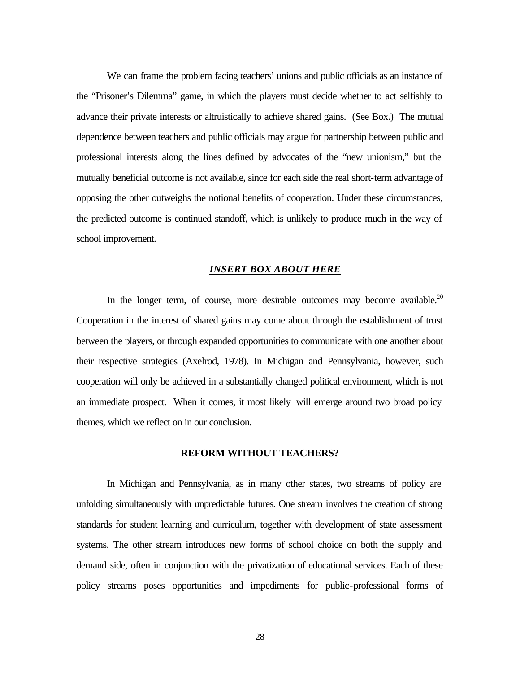We can frame the problem facing teachers' unions and public officials as an instance of the "Prisoner's Dilemma" game, in which the players must decide whether to act selfishly to advance their private interests or altruistically to achieve shared gains. (See Box.) The mutual dependence between teachers and public officials may argue for partnership between public and professional interests along the lines defined by advocates of the "new unionism," but the mutually beneficial outcome is not available, since for each side the real short-term advantage of opposing the other outweighs the notional benefits of cooperation. Under these circumstances, the predicted outcome is continued standoff, which is unlikely to produce much in the way of school improvement.

#### *INSERT BOX ABOUT HERE*

In the longer term, of course, more desirable outcomes may become available.<sup>20</sup> Cooperation in the interest of shared gains may come about through the establishment of trust between the players, or through expanded opportunities to communicate with one another about their respective strategies (Axelrod, 1978). In Michigan and Pennsylvania, however, such cooperation will only be achieved in a substantially changed political environment, which is not an immediate prospect. When it comes, it most likely will emerge around two broad policy themes, which we reflect on in our conclusion.

### **REFORM WITHOUT TEACHERS?**

In Michigan and Pennsylvania, as in many other states, two streams of policy are unfolding simultaneously with unpredictable futures. One stream involves the creation of strong standards for student learning and curriculum, together with development of state assessment systems. The other stream introduces new forms of school choice on both the supply and demand side, often in conjunction with the privatization of educational services. Each of these policy streams poses opportunities and impediments for public-professional forms of

28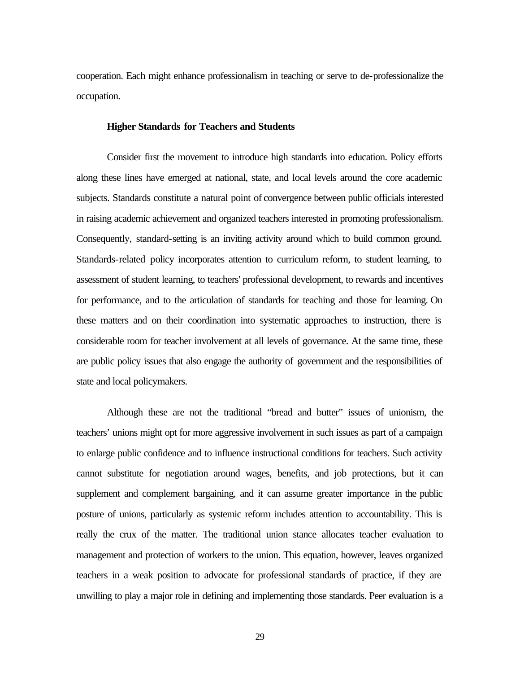cooperation. Each might enhance professionalism in teaching or serve to de-professionalize the occupation.

### **Higher Standards for Teachers and Students**

Consider first the movement to introduce high standards into education. Policy efforts along these lines have emerged at national, state, and local levels around the core academic subjects. Standards constitute a natural point of convergence between public officials interested in raising academic achievement and organized teachers interested in promoting professionalism. Consequently, standard-setting is an inviting activity around which to build common ground. Standards-related policy incorporates attention to curriculum reform, to student learning, to assessment of student learning, to teachers' professional development, to rewards and incentives for performance, and to the articulation of standards for teaching and those for learning. On these matters and on their coordination into systematic approaches to instruction, there is considerable room for teacher involvement at all levels of governance. At the same time, these are public policy issues that also engage the authority of government and the responsibilities of state and local policymakers.

Although these are not the traditional "bread and butter" issues of unionism, the teachers' unions might opt for more aggressive involvement in such issues as part of a campaign to enlarge public confidence and to influence instructional conditions for teachers. Such activity cannot substitute for negotiation around wages, benefits, and job protections, but it can supplement and complement bargaining, and it can assume greater importance in the public posture of unions, particularly as systemic reform includes attention to accountability. This is really the crux of the matter. The traditional union stance allocates teacher evaluation to management and protection of workers to the union. This equation, however, leaves organized teachers in a weak position to advocate for professional standards of practice, if they are unwilling to play a major role in defining and implementing those standards. Peer evaluation is a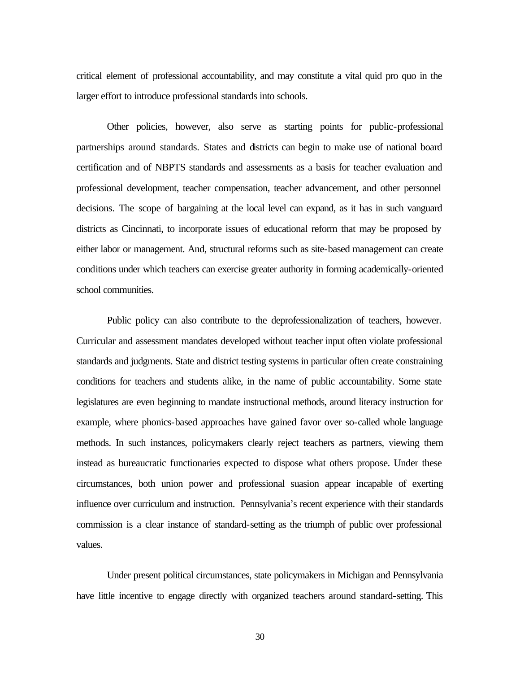critical element of professional accountability, and may constitute a vital quid pro quo in the larger effort to introduce professional standards into schools.

Other policies, however, also serve as starting points for public-professional partnerships around standards. States and districts can begin to make use of national board certification and of NBPTS standards and assessments as a basis for teacher evaluation and professional development, teacher compensation, teacher advancement, and other personnel decisions. The scope of bargaining at the local level can expand, as it has in such vanguard districts as Cincinnati, to incorporate issues of educational reform that may be proposed by either labor or management. And, structural reforms such as site-based management can create conditions under which teachers can exercise greater authority in forming academically-oriented school communities.

Public policy can also contribute to the deprofessionalization of teachers, however. Curricular and assessment mandates developed without teacher input often violate professional standards and judgments. State and district testing systems in particular often create constraining conditions for teachers and students alike, in the name of public accountability. Some state legislatures are even beginning to mandate instructional methods, around literacy instruction for example, where phonics-based approaches have gained favor over so-called whole language methods. In such instances, policymakers clearly reject teachers as partners, viewing them instead as bureaucratic functionaries expected to dispose what others propose. Under these circumstances, both union power and professional suasion appear incapable of exerting influence over curriculum and instruction. Pennsylvania's recent experience with their standards commission is a clear instance of standard-setting as the triumph of public over professional values.

Under present political circumstances, state policymakers in Michigan and Pennsylvania have little incentive to engage directly with organized teachers around standard-setting. This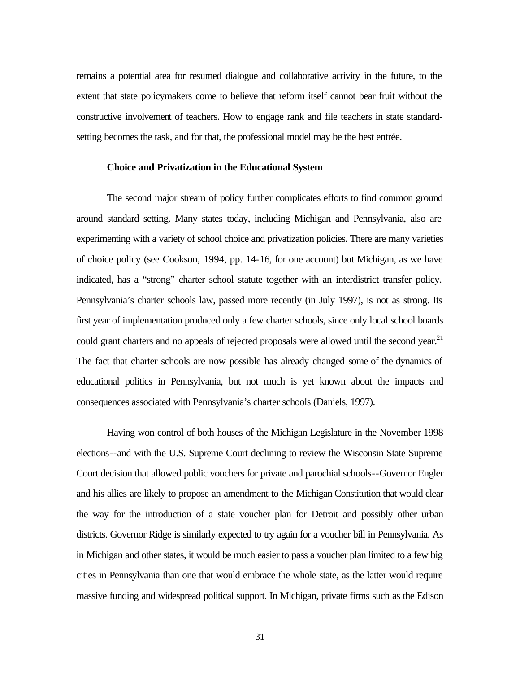remains a potential area for resumed dialogue and collaborative activity in the future, to the extent that state policymakers come to believe that reform itself cannot bear fruit without the constructive involvement of teachers. How to engage rank and file teachers in state standardsetting becomes the task, and for that, the professional model may be the best entrée.

#### **Choice and Privatization in the Educational System**

The second major stream of policy further complicates efforts to find common ground around standard setting. Many states today, including Michigan and Pennsylvania, also are experimenting with a variety of school choice and privatization policies. There are many varieties of choice policy (see Cookson, 1994, pp. 14-16, for one account) but Michigan, as we have indicated, has a "strong" charter school statute together with an interdistrict transfer policy. Pennsylvania's charter schools law, passed more recently (in July 1997), is not as strong. Its first year of implementation produced only a few charter schools, since only local school boards could grant charters and no appeals of rejected proposals were allowed until the second year.<sup>21</sup> The fact that charter schools are now possible has already changed some of the dynamics of educational politics in Pennsylvania, but not much is yet known about the impacts and consequences associated with Pennsylvania's charter schools (Daniels, 1997).

Having won control of both houses of the Michigan Legislature in the November 1998 elections--and with the U.S. Supreme Court declining to review the Wisconsin State Supreme Court decision that allowed public vouchers for private and parochial schools--Governor Engler and his allies are likely to propose an amendment to the Michigan Constitution that would clear the way for the introduction of a state voucher plan for Detroit and possibly other urban districts. Governor Ridge is similarly expected to try again for a voucher bill in Pennsylvania. As in Michigan and other states, it would be much easier to pass a voucher plan limited to a few big cities in Pennsylvania than one that would embrace the whole state, as the latter would require massive funding and widespread political support. In Michigan, private firms such as the Edison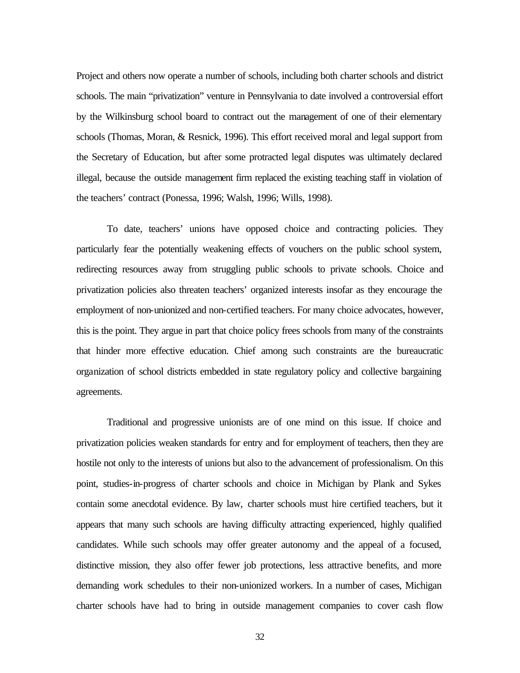Project and others now operate a number of schools, including both charter schools and district schools. The main "privatization" venture in Pennsylvania to date involved a controversial effort by the Wilkinsburg school board to contract out the management of one of their elementary schools (Thomas, Moran, & Resnick, 1996). This effort received moral and legal support from the Secretary of Education, but after some protracted legal disputes was ultimately declared illegal, because the outside management firm replaced the existing teaching staff in violation of the teachers' contract (Ponessa, 1996; Walsh, 1996; Wills, 1998).

To date, teachers' unions have opposed choice and contracting policies. They particularly fear the potentially weakening effects of vouchers on the public school system, redirecting resources away from struggling public schools to private schools. Choice and privatization policies also threaten teachers' organized interests insofar as they encourage the employment of non-unionized and non-certified teachers. For many choice advocates, however, this is the point. They argue in part that choice policy frees schools from many of the constraints that hinder more effective education. Chief among such constraints are the bureaucratic organization of school districts embedded in state regulatory policy and collective bargaining agreements.

Traditional and progressive unionists are of one mind on this issue. If choice and privatization policies weaken standards for entry and for employment of teachers, then they are hostile not only to the interests of unions but also to the advancement of professionalism. On this point, studies-in-progress of charter schools and choice in Michigan by Plank and Sykes contain some anecdotal evidence. By law, charter schools must hire certified teachers, but it appears that many such schools are having difficulty attracting experienced, highly qualified candidates. While such schools may offer greater autonomy and the appeal of a focused, distinctive mission, they also offer fewer job protections, less attractive benefits, and more demanding work schedules to their non-unionized workers. In a number of cases, Michigan charter schools have had to bring in outside management companies to cover cash flow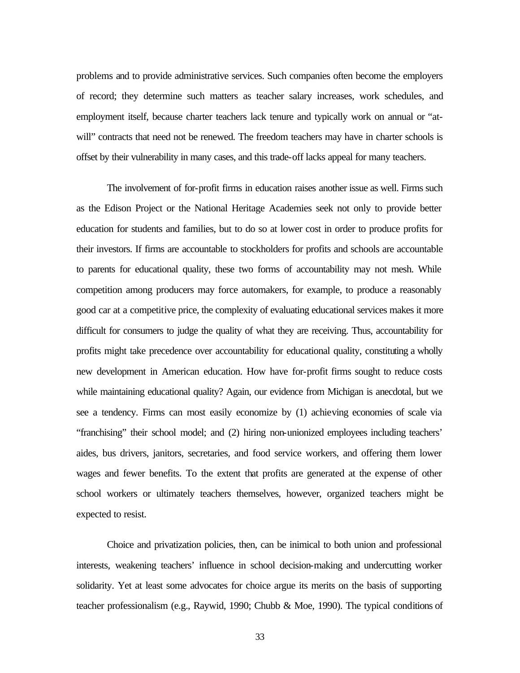problems and to provide administrative services. Such companies often become the employers of record; they determine such matters as teacher salary increases, work schedules, and employment itself, because charter teachers lack tenure and typically work on annual or "atwill" contracts that need not be renewed. The freedom teachers may have in charter schools is offset by their vulnerability in many cases, and this trade-off lacks appeal for many teachers.

The involvement of for-profit firms in education raises another issue as well. Firms such as the Edison Project or the National Heritage Academies seek not only to provide better education for students and families, but to do so at lower cost in order to produce profits for their investors. If firms are accountable to stockholders for profits and schools are accountable to parents for educational quality, these two forms of accountability may not mesh. While competition among producers may force automakers, for example, to produce a reasonably good car at a competitive price, the complexity of evaluating educational services makes it more difficult for consumers to judge the quality of what they are receiving. Thus, accountability for profits might take precedence over accountability for educational quality, constituting a wholly new development in American education. How have for-profit firms sought to reduce costs while maintaining educational quality? Again, our evidence from Michigan is anecdotal, but we see a tendency. Firms can most easily economize by (1) achieving economies of scale via "franchising" their school model; and (2) hiring non-unionized employees including teachers' aides, bus drivers, janitors, secretaries, and food service workers, and offering them lower wages and fewer benefits. To the extent that profits are generated at the expense of other school workers or ultimately teachers themselves, however, organized teachers might be expected to resist.

Choice and privatization policies, then, can be inimical to both union and professional interests, weakening teachers' influence in school decision-making and undercutting worker solidarity. Yet at least some advocates for choice argue its merits on the basis of supporting teacher professionalism (e.g., Raywid, 1990; Chubb & Moe, 1990). The typical conditions of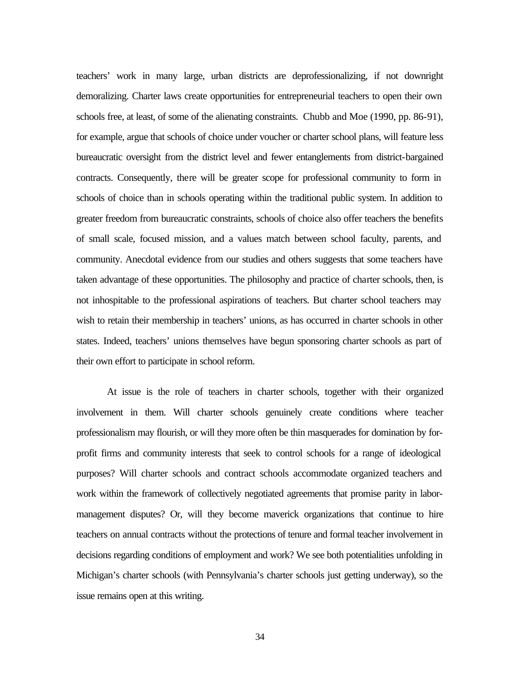teachers' work in many large, urban districts are deprofessionalizing, if not downright demoralizing. Charter laws create opportunities for entrepreneurial teachers to open their own schools free, at least, of some of the alienating constraints. Chubb and Moe (1990, pp. 86-91), for example, argue that schools of choice under voucher or charter school plans, will feature less bureaucratic oversight from the district level and fewer entanglements from district-bargained contracts. Consequently, there will be greater scope for professional community to form in schools of choice than in schools operating within the traditional public system. In addition to greater freedom from bureaucratic constraints, schools of choice also offer teachers the benefits of small scale, focused mission, and a values match between school faculty, parents, and community. Anecdotal evidence from our studies and others suggests that some teachers have taken advantage of these opportunities. The philosophy and practice of charter schools, then, is not inhospitable to the professional aspirations of teachers. But charter school teachers may wish to retain their membership in teachers' unions, as has occurred in charter schools in other states. Indeed, teachers' unions themselves have begun sponsoring charter schools as part of their own effort to participate in school reform.

At issue is the role of teachers in charter schools, together with their organized involvement in them. Will charter schools genuinely create conditions where teacher professionalism may flourish, or will they more often be thin masquerades for domination by forprofit firms and community interests that seek to control schools for a range of ideological purposes? Will charter schools and contract schools accommodate organized teachers and work within the framework of collectively negotiated agreements that promise parity in labormanagement disputes? Or, will they become maverick organizations that continue to hire teachers on annual contracts without the protections of tenure and formal teacher involvement in decisions regarding conditions of employment and work? We see both potentialities unfolding in Michigan's charter schools (with Pennsylvania's charter schools just getting underway), so the issue remains open at this writing.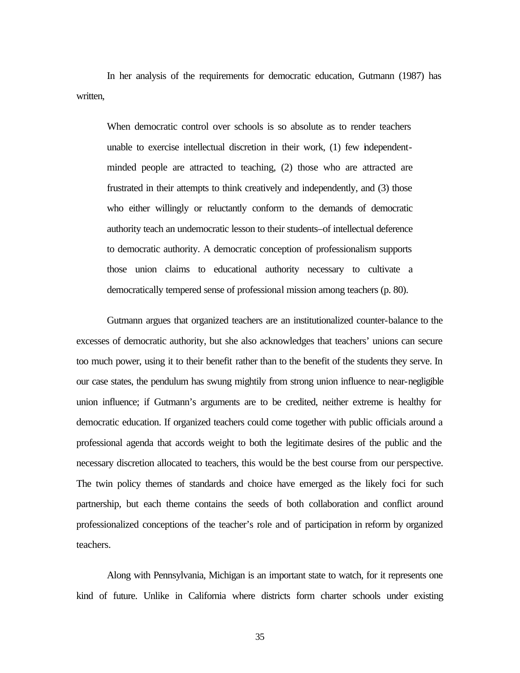In her analysis of the requirements for democratic education, Gutmann (1987) has written,

When democratic control over schools is so absolute as to render teachers unable to exercise intellectual discretion in their work, (1) few independentminded people are attracted to teaching, (2) those who are attracted are frustrated in their attempts to think creatively and independently, and (3) those who either willingly or reluctantly conform to the demands of democratic authority teach an undemocratic lesson to their students–of intellectual deference to democratic authority. A democratic conception of professionalism supports those union claims to educational authority necessary to cultivate a democratically tempered sense of professional mission among teachers (p. 80).

Gutmann argues that organized teachers are an institutionalized counter-balance to the excesses of democratic authority, but she also acknowledges that teachers' unions can secure too much power, using it to their benefit rather than to the benefit of the students they serve. In our case states, the pendulum has swung mightily from strong union influence to near-negligible union influence; if Gutmann's arguments are to be credited, neither extreme is healthy for democratic education. If organized teachers could come together with public officials around a professional agenda that accords weight to both the legitimate desires of the public and the necessary discretion allocated to teachers, this would be the best course from our perspective. The twin policy themes of standards and choice have emerged as the likely foci for such partnership, but each theme contains the seeds of both collaboration and conflict around professionalized conceptions of the teacher's role and of participation in reform by organized teachers.

Along with Pennsylvania, Michigan is an important state to watch, for it represents one kind of future. Unlike in California where districts form charter schools under existing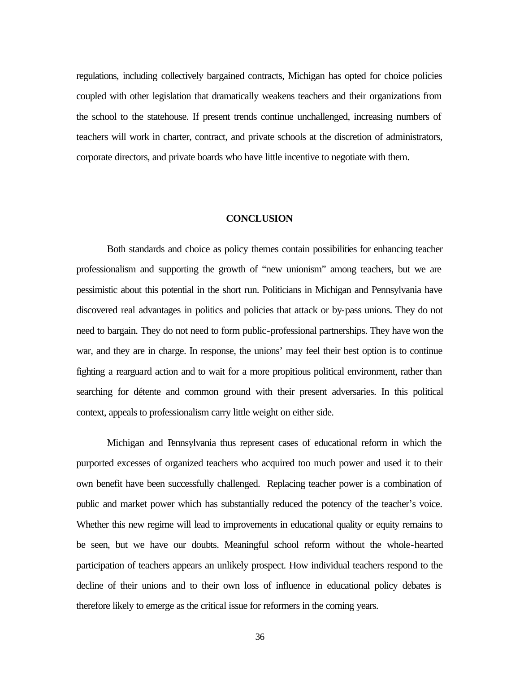regulations, including collectively bargained contracts, Michigan has opted for choice policies coupled with other legislation that dramatically weakens teachers and their organizations from the school to the statehouse. If present trends continue unchallenged, increasing numbers of teachers will work in charter, contract, and private schools at the discretion of administrators, corporate directors, and private boards who have little incentive to negotiate with them.

#### **CONCLUSION**

Both standards and choice as policy themes contain possibilities for enhancing teacher professionalism and supporting the growth of "new unionism" among teachers, but we are pessimistic about this potential in the short run. Politicians in Michigan and Pennsylvania have discovered real advantages in politics and policies that attack or by-pass unions. They do not need to bargain. They do not need to form public-professional partnerships. They have won the war, and they are in charge. In response, the unions' may feel their best option is to continue fighting a rearguard action and to wait for a more propitious political environment, rather than searching for détente and common ground with their present adversaries. In this political context, appeals to professionalism carry little weight on either side.

Michigan and Pennsylvania thus represent cases of educational reform in which the purported excesses of organized teachers who acquired too much power and used it to their own benefit have been successfully challenged. Replacing teacher power is a combination of public and market power which has substantially reduced the potency of the teacher's voice. Whether this new regime will lead to improvements in educational quality or equity remains to be seen, but we have our doubts. Meaningful school reform without the whole-hearted participation of teachers appears an unlikely prospect. How individual teachers respond to the decline of their unions and to their own loss of influence in educational policy debates is therefore likely to emerge as the critical issue for reformers in the coming years.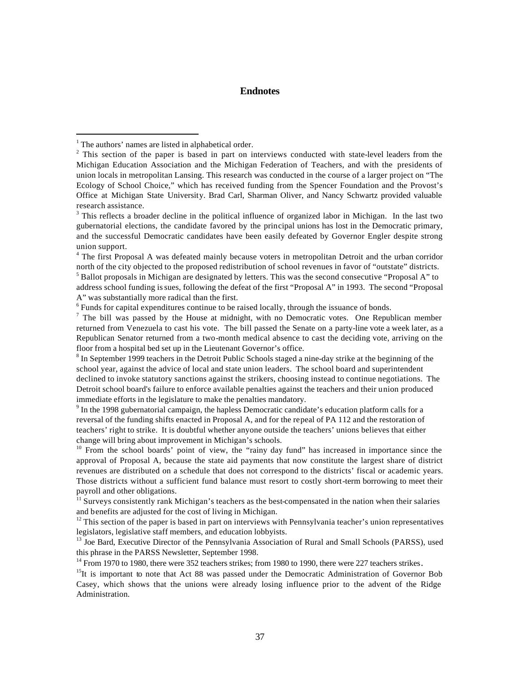## **Endnotes**

 $\ddot{\phantom{a}}$ 

<sup>4</sup> The first Proposal A was defeated mainly because voters in metropolitan Detroit and the urban corridor north of the city objected to the proposed redistribution of school revenues in favor of "outstate" districts.  $<sup>5</sup>$  Ballot proposals in Michigan are designated by letters. This was the second consecutive "Proposal A" to</sup>

address school funding issues, following the defeat of the first "Proposal A" in 1993. The second "Proposal A" was substantially more radical than the first.

 $6$  Funds for capital expenditures continue to be raised locally, through the issuance of bonds.

 $<sup>7</sup>$  The bill was passed by the House at midnight, with no Democratic votes. One Republican member</sup> returned from Venezuela to cast his vote. The bill passed the Senate on a party-line vote a week later, as a Republican Senator returned from a two-month medical absence to cast the deciding vote, arriving on the floor from a hospital bed set up in the Lieutenant Governor's office.

<sup>8</sup> In September 1999 teachers in the Detroit Public Schools staged a nine-day strike at the beginning of the school year, against the advice of local and state union leaders. The school board and superintendent declined to invoke statutory sanctions against the strikers, choosing instead to continue negotiations. The Detroit school board's failure to enforce available penalties against the teachers and their union produced immediate efforts in the legislature to make the penalties mandatory.

 $9$  In the 1998 gubernatorial campaign, the hapless Democratic candidate's education platform calls for a reversal of the funding shifts enacted in Proposal A, and for the repeal of PA 112 and the restoration of teachers' right to strike. It is doubtful whether anyone outside the teachers' unions believes that either change will bring about improvement in Michigan's schools.

 $10$  From the school boards' point of view, the "rainy day fund" has increased in importance since the approval of Proposal A, because the state aid payments that now constitute the largest share of district revenues are distributed on a schedule that does not correspond to the districts' fiscal or academic years. Those districts without a sufficient fund balance must resort to costly short-term borrowing to meet their payroll and other obligations.

 $11$  Surveys consistently rank Michigan's teachers as the best-compensated in the nation when their salaries and benefits are adjusted for the cost of living in Michigan.

 $12$  This section of the paper is based in part on interviews with Pennsylvania teacher's union representatives legislators, legislative staff members, and education lobbyists.

<sup>13</sup> Joe Bard, Executive Director of the Pennsylvania Association of Rural and Small Schools (PARSS), used this phrase in the PARSS Newsletter, September 1998.

<sup>14</sup> From 1970 to 1980, there were 352 teachers strikes; from 1980 to 1990, there were 227 teachers strikes.

 $15$ It is important to note that Act 88 was passed under the Democratic Administration of Governor Bob Casey, which shows that the unions were already losing influence prior to the advent of the Ridge Administration.

<sup>&</sup>lt;sup>1</sup> The authors' names are listed in alphabetical order.

 $2$  This section of the paper is based in part on interviews conducted with state-level leaders from the Michigan Education Association and the Michigan Federation of Teachers, and with the presidents of union locals in metropolitan Lansing. This research was conducted in the course of a larger project on "The Ecology of School Choice," which has received funding from the Spencer Foundation and the Provost's Office at Michigan State University. Brad Carl, Sharman Oliver, and Nancy Schwartz provided valuable research assistance.

<sup>&</sup>lt;sup>3</sup> This reflects a broader decline in the political influence of organized labor in Michigan. In the last two gubernatorial elections, the candidate favored by the principal unions has lost in the Democratic primary, and the successful Democratic candidates have been easily defeated by Governor Engler despite strong union support.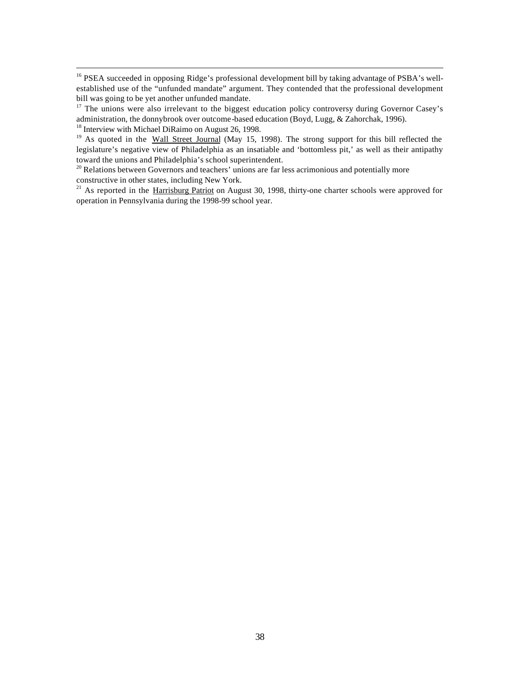<sup>16</sup> PSEA succeeded in opposing Ridge's professional development bill by taking advantage of PSBA's wellestablished use of the "unfunded mandate" argument. They contended that the professional development bill was going to be yet another unfunded mandate.

<sup>17</sup> The unions were also irrelevant to the biggest education policy controversy during Governor Casey's administration, the donnybrook over outcome-based education (Boyd, Lugg, & Zahorchak, 1996).

 $\ddot{\phantom{a}}$ 

<sup>19</sup> As quoted in the Wall Street Journal (May 15, 1998). The strong support for this bill reflected the legislature's negative view of Philadelphia as an insatiable and 'bottomless pit,' as well as their antipathy toward the unions and Philadelphia's school superintendent.

<sup>20</sup> Relations between Governors and teachers' unions are far less acrimonious and potentially more constructive in other states, including New York.

 $21$  As reported in the Harrisburg Patriot on August 30, 1998, thirty-one charter schools were approved for operation in Pennsylvania during the 1998-99 school year.

<sup>&</sup>lt;sup>18</sup> Interview with Michael DiRaimo on August 26, 1998.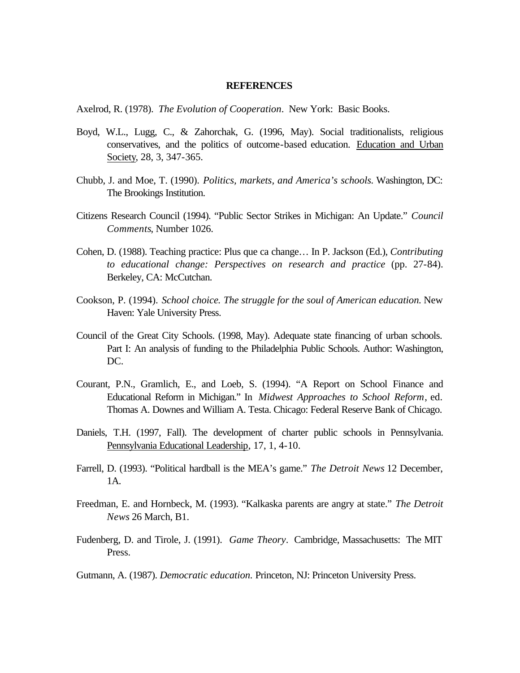#### **REFERENCES**

Axelrod, R. (1978). *The Evolution of Cooperation*. New York: Basic Books.

- Boyd, W.L., Lugg, C., & Zahorchak, G. (1996, May). Social traditionalists, religious conservatives, and the politics of outcome-based education. Education and Urban Society, 28, 3, 347-365.
- Chubb, J. and Moe, T. (1990). *Politics, markets, and America's schools.* Washington, DC: The Brookings Institution.
- Citizens Research Council (1994). "Public Sector Strikes in Michigan: An Update." *Council Comments*, Number 1026.
- Cohen, D. (1988). Teaching practice: Plus que ca change… In P. Jackson (Ed.), *Contributing to educational change: Perspectives on research and practice* (pp. 27-84). Berkeley, CA: McCutchan.
- Cookson, P. (1994). *School choice. The struggle for the soul of American education.* New Haven: Yale University Press.
- Council of the Great City Schools. (1998, May). Adequate state financing of urban schools. Part I: An analysis of funding to the Philadelphia Public Schools. Author: Washington, DC.
- Courant, P.N., Gramlich, E., and Loeb, S. (1994). "A Report on School Finance and Educational Reform in Michigan." In *Midwest Approaches to School Reform*, ed. Thomas A. Downes and William A. Testa. Chicago: Federal Reserve Bank of Chicago.
- Daniels, T.H. (1997, Fall). The development of charter public schools in Pennsylvania. Pennsylvania Educational Leadership, 17, 1, 4-10.
- Farrell, D. (1993). "Political hardball is the MEA's game." *The Detroit News* 12 December, 1A.
- Freedman, E. and Hornbeck, M. (1993). "Kalkaska parents are angry at state." *The Detroit News* 26 March, B1.
- Fudenberg, D. and Tirole, J. (1991). *Game Theory*. Cambridge, Massachusetts: The MIT Press.
- Gutmann, A. (1987). *Democratic education.* Princeton, NJ: Princeton University Press.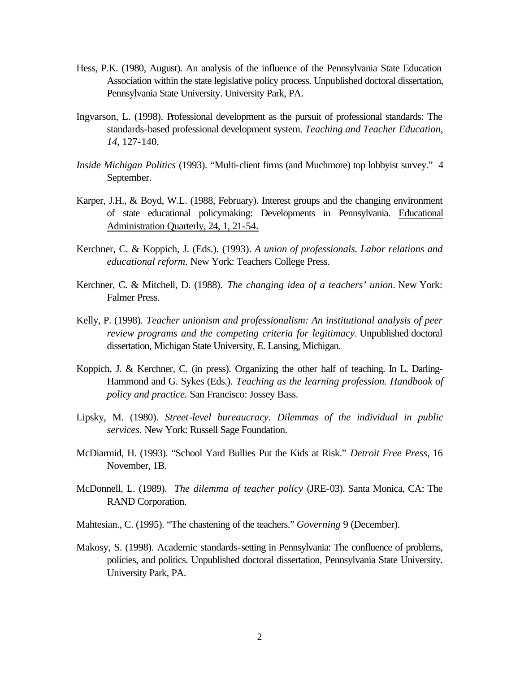- Hess, P.K. (1980, August). An analysis of the influence of the Pennsylvania State Education Association within the state legislative policy process. Unpublished doctoral dissertation, Pennsylvania State University. University Park, PA.
- Ingvarson, L. (1998). Professional development as the pursuit of professional standards: The standards-based professional development system. *Teaching and Teacher Education, 14*, 127-140.
- *Inside Michigan Politics* (1993). "Multi-client firms (and Muchmore) top lobbyist survey." 4 September.
- Karper, J.H., & Boyd, W.L. (1988, February). Interest groups and the changing environment of state educational policymaking: Developments in Pennsylvania. Educational Administration Quarterly, 24, 1, 21-54.
- Kerchner, C. & Koppich, J. (Eds.). (1993). *A union of professionals. Labor relations and educational reform.* New York: Teachers College Press.
- Kerchner, C. & Mitchell, D. (1988). *The changing idea of a teachers' union*. New York: Falmer Press.
- Kelly, P. (1998). *Teacher unionism and professionalism: An institutional analysis of peer review programs and the competing criteria for legitimacy*. Unpublished doctoral dissertation, Michigan State University, E. Lansing, Michigan.
- Koppich, J. & Kerchner, C. (in press). Organizing the other half of teaching. In L. Darling-Hammond and G. Sykes (Eds.). *Teaching as the learning profession. Handbook of policy and practice.* San Francisco: Jossey Bass.
- Lipsky, M. (1980). *Street-level bureaucracy. Dilemmas of the individual in public services.* New York: Russell Sage Foundation.
- McDiarmid, H. (1993). "School Yard Bullies Put the Kids at Risk." *Detroit Free Press*, 16 November, 1B.
- McDonnell, L. (1989). *The dilemma of teacher policy* (JRE-03). Santa Monica, CA: The RAND Corporation.
- Mahtesian., C. (1995). "The chastening of the teachers." *Governing* 9 (December).
- Makosy, S. (1998). Academic standards-setting in Pennsylvania: The confluence of problems, policies, and politics. Unpublished doctoral dissertation, Pennsylvania State University. University Park, PA.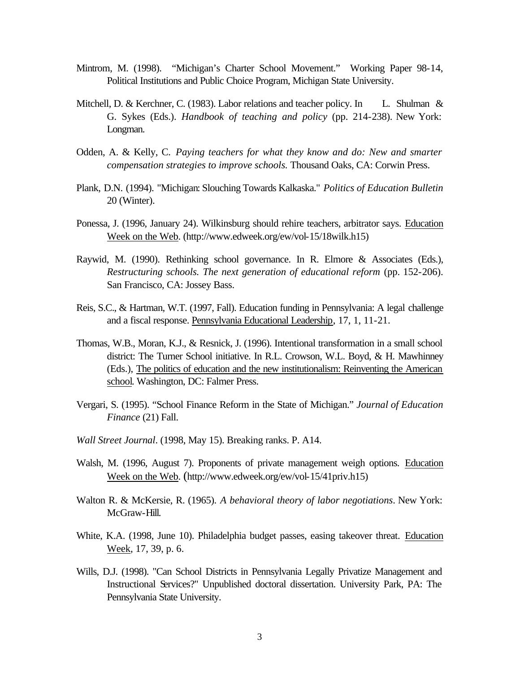- Mintrom, M. (1998). "Michigan's Charter School Movement." Working Paper 98-14, Political Institutions and Public Choice Program, Michigan State University.
- Mitchell, D. & Kerchner, C. (1983). Labor relations and teacher policy. In L. Shulman & G. Sykes (Eds.). *Handbook of teaching and policy* (pp. 214-238). New York: Longman.
- Odden, A. & Kelly, C. *Paying teachers for what they know and do: New and smarter compensation strategies to improve schools.* Thousand Oaks, CA: Corwin Press.
- Plank, D.N. (1994). "Michigan: Slouching Towards Kalkaska." *Politics of Education Bulletin* 20 (Winter).
- Ponessa, J. (1996, January 24). Wilkinsburg should rehire teachers, arbitrator says. Education Week on the Web. (http://www.edweek.org/ew/vol-15/18wilk.h15)
- Raywid, M. (1990). Rethinking school governance. In R. Elmore & Associates (Eds.), *Restructuring schools. The next generation of educational reform* (pp. 152-206). San Francisco, CA: Jossey Bass.
- Reis, S.C., & Hartman, W.T. (1997, Fall). Education funding in Pennsylvania: A legal challenge and a fiscal response. Pennsylvania Educational Leadership, 17, 1, 11-21.
- Thomas, W.B., Moran, K.J., & Resnick, J. (1996). Intentional transformation in a small school district: The Turner School initiative. In R.L. Crowson, W.L. Boyd, & H. Mawhinney (Eds.), The politics of education and the new institutionalism: Reinventing the American school. Washington, DC: Falmer Press.
- Vergari, S. (1995). "School Finance Reform in the State of Michigan." *Journal of Education Finance* (21) Fall.
- *Wall Street Journal*. (1998, May 15). Breaking ranks. P. A14.
- Walsh, M. (1996, August 7). Proponents of private management weigh options. Education Week on the Web. (http://www.edweek.org/ew/vol-15/41priv.h15)
- Walton R. & McKersie, R. (1965). *A behavioral theory of labor negotiations*. New York: McGraw-Hill.
- White, K.A. (1998, June 10). Philadelphia budget passes, easing takeover threat. Education Week, 17, 39, p. 6.
- Wills, D.J. (1998). "Can School Districts in Pennsylvania Legally Privatize Management and Instructional Services?" Unpublished doctoral dissertation. University Park, PA: The Pennsylvania State University.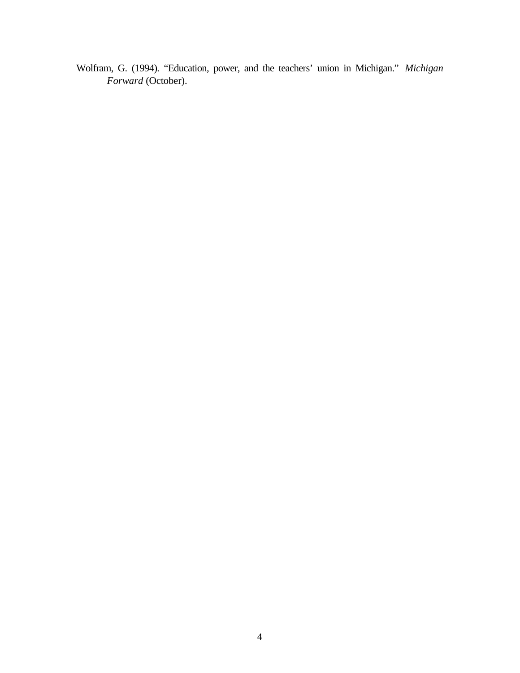Wolfram, G. (1994). "Education, power, and the teachers' union in Michigan." *Michigan Forward* (October).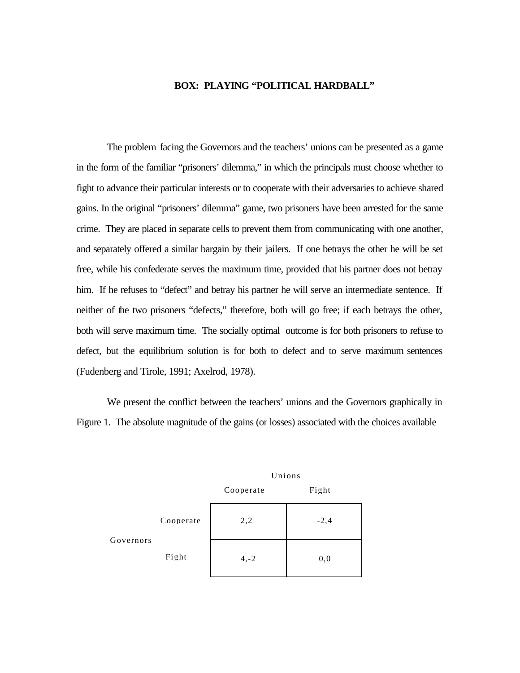### **BOX: PLAYING "POLITICAL HARDBALL"**

The problem facing the Governors and the teachers' unions can be presented as a game in the form of the familiar "prisoners' dilemma," in which the principals must choose whether to fight to advance their particular interests or to cooperate with their adversaries to achieve shared gains. In the original "prisoners' dilemma" game, two prisoners have been arrested for the same crime. They are placed in separate cells to prevent them from communicating with one another, and separately offered a similar bargain by their jailers. If one betrays the other he will be set free, while his confederate serves the maximum time, provided that his partner does not betray him. If he refuses to "defect" and betray his partner he will serve an intermediate sentence. If neither of the two prisoners "defects," therefore, both will go free; if each betrays the other, both will serve maximum time. The socially optimal outcome is for both prisoners to refuse to defect, but the equilibrium solution is for both to defect and to serve maximum sentences (Fudenberg and Tirole, 1991; Axelrod, 1978).

We present the conflict between the teachers' unions and the Governors graphically in Figure 1. The absolute magnitude of the gains (or losses) associated with the choices available

|           |           | Unions    |        |
|-----------|-----------|-----------|--------|
|           |           | Cooperate | Fight  |
| Governors | Cooperate | 2,2       | $-2,4$ |
|           | Fight     | $4, -2$   | 0,0    |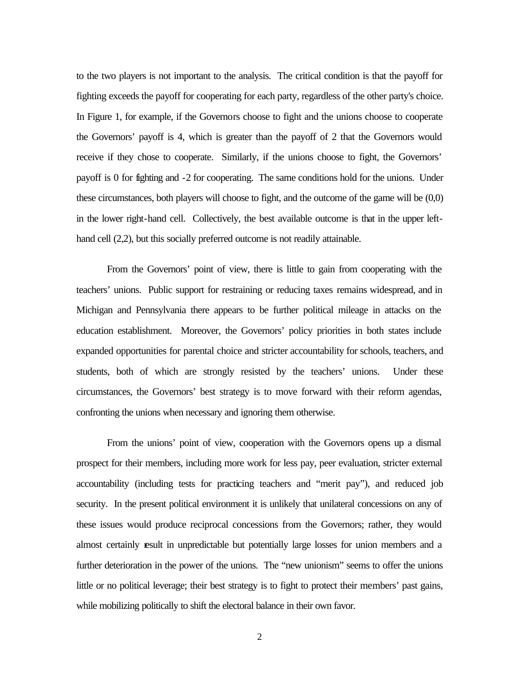to the two players is not important to the analysis. The critical condition is that the payoff for fighting exceeds the payoff for cooperating for each party, regardless of the other party's choice. In Figure 1, for example, if the Governors choose to fight and the unions choose to cooperate the Governors' payoff is 4, which is greater than the payoff of 2 that the Governors would receive if they chose to cooperate. Similarly, if the unions choose to fight, the Governors' payoff is 0 for fighting and -2 for cooperating. The same conditions hold for the unions. Under these circumstances, both players will choose to fight, and the outcome of the game will be (0,0) in the lower right-hand cell. Collectively, the best available outcome is that in the upper lefthand cell  $(2,2)$ , but this socially preferred outcome is not readily attainable.

From the Governors' point of view, there is little to gain from cooperating with the teachers' unions. Public support for restraining or reducing taxes remains widespread, and in Michigan and Pennsylvania there appears to be further political mileage in attacks on the education establishment. Moreover, the Governors' policy priorities in both states include expanded opportunities for parental choice and stricter accountability for schools, teachers, and students, both of which are strongly resisted by the teachers' unions. Under these circumstances, the Governors' best strategy is to move forward with their reform agendas, confronting the unions when necessary and ignoring them otherwise.

From the unions' point of view, cooperation with the Governors opens up a dismal prospect for their members, including more work for less pay, peer evaluation, stricter external accountability (including tests for practicing teachers and "merit pay"), and reduced job security. In the present political environment it is unlikely that unilateral concessions on any of these issues would produce reciprocal concessions from the Governors; rather, they would almost certainly result in unpredictable but potentially large losses for union members and a further deterioration in the power of the unions. The "new unionism" seems to offer the unions little or no political leverage; their best strategy is to fight to protect their members' past gains, while mobilizing politically to shift the electoral balance in their own favor.